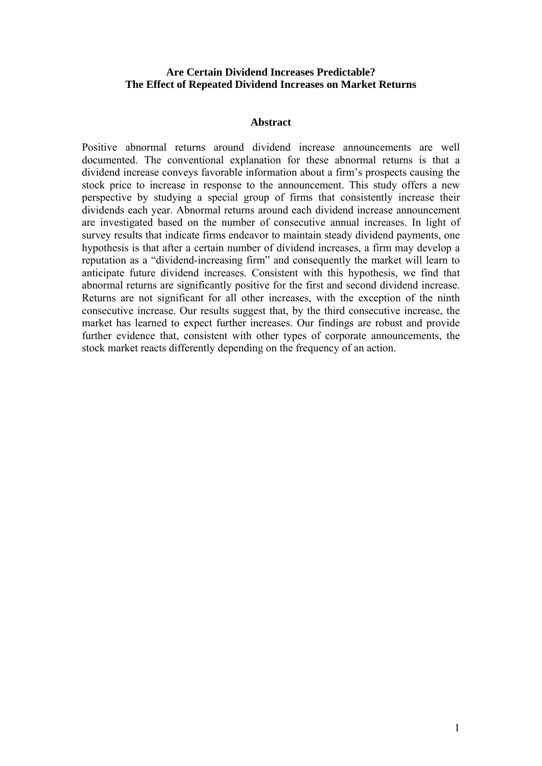## **Are Certain Dividend Increases Predictable? The Effect of Repeated Dividend Increases on Market Returns**

### **Abstract**

Positive abnormal returns around dividend increase announcements are well documented. The conventional explanation for these abnormal returns is that a dividend increase conveys favorable information about a firm's prospects causing the stock price to increase in response to the announcement. This study offers a new perspective by studying a special group of firms that consistently increase their dividends each year. Abnormal returns around each dividend increase announcement are investigated based on the number of consecutive annual increases. In light of survey results that indicate firms endeavor to maintain steady dividend payments, one hypothesis is that after a certain number of dividend increases, a firm may develop a reputation as a "dividend-increasing firm" and consequently the market will learn to anticipate future dividend increases. Consistent with this hypothesis, we find that abnormal returns are significantly positive for the first and second dividend increase. Returns are not significant for all other increases, with the exception of the ninth consecutive increase. Our results suggest that, by the third consecutive increase, the market has learned to expect further increases. Our findings are robust and provide further evidence that, consistent with other types of corporate announcements, the stock market reacts differently depending on the frequency of an action.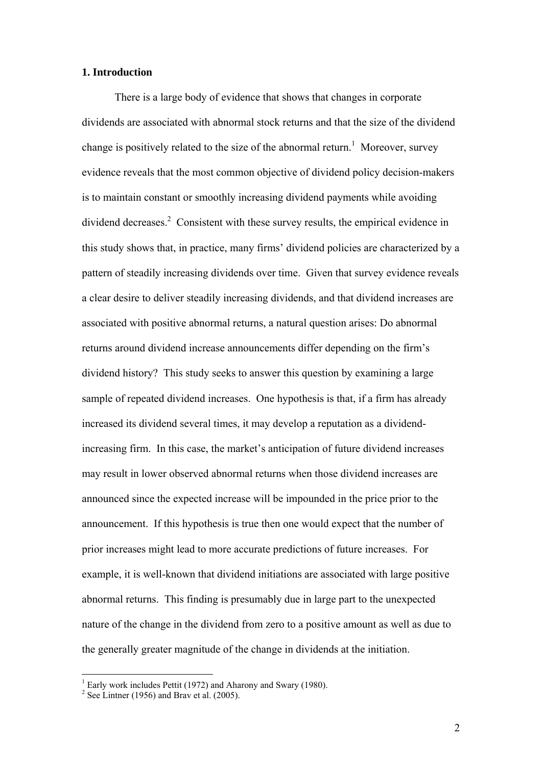### **1. Introduction**

There is a large body of evidence that shows that changes in corporate dividends are associated with abnormal stock returns and that the size of the dividend change is positively related to the size of the abnormal return.<sup>1</sup> Moreover, survey evidence reveals that the most common objective of dividend policy decision-makers is to maintain constant or smoothly increasing dividend payments while avoiding dividend decreases.<sup>2</sup> Consistent with these survey results, the empirical evidence in this study shows that, in practice, many firms' dividend policies are characterized by a pattern of steadily increasing dividends over time. Given that survey evidence reveals a clear desire to deliver steadily increasing dividends, and that dividend increases are associated with positive abnormal returns, a natural question arises: Do abnormal returns around dividend increase announcements differ depending on the firm's dividend history? This study seeks to answer this question by examining a large sample of repeated dividend increases. One hypothesis is that, if a firm has already increased its dividend several times, it may develop a reputation as a dividendincreasing firm. In this case, the market's anticipation of future dividend increases may result in lower observed abnormal returns when those dividend increases are announced since the expected increase will be impounded in the price prior to the announcement. If this hypothesis is true then one would expect that the number of prior increases might lead to more accurate predictions of future increases. For example, it is well-known that dividend initiations are associated with large positive abnormal returns. This finding is presumably due in large part to the unexpected nature of the change in the dividend from zero to a positive amount as well as due to the generally greater magnitude of the change in dividends at the initiation.

 1 Early work includes Pettit (1972) and Aharony and Swary (1980).

 $2^2$  See Lintner (1956) and Brav et al. (2005).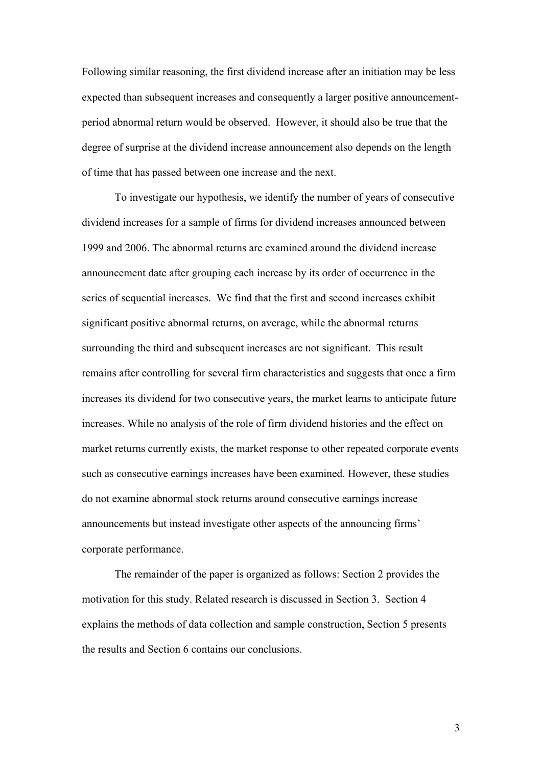Following similar reasoning, the first dividend increase after an initiation may be less expected than subsequent increases and consequently a larger positive announcementperiod abnormal return would be observed. However, it should also be true that the degree of surprise at the dividend increase announcement also depends on the length of time that has passed between one increase and the next.

To investigate our hypothesis, we identify the number of years of consecutive dividend increases for a sample of firms for dividend increases announced between 1999 and 2006. The abnormal returns are examined around the dividend increase announcement date after grouping each increase by its order of occurrence in the series of sequential increases. We find that the first and second increases exhibit significant positive abnormal returns, on average, while the abnormal returns surrounding the third and subsequent increases are not significant. This result remains after controlling for several firm characteristics and suggests that once a firm increases its dividend for two consecutive years, the market learns to anticipate future increases. While no analysis of the role of firm dividend histories and the effect on market returns currently exists, the market response to other repeated corporate events such as consecutive earnings increases have been examined. However, these studies do not examine abnormal stock returns around consecutive earnings increase announcements but instead investigate other aspects of the announcing firms' corporate performance.

The remainder of the paper is organized as follows: Section 2 provides the motivation for this study. Related research is discussed in Section 3. Section 4 explains the methods of data collection and sample construction, Section 5 presents the results and Section 6 contains our conclusions.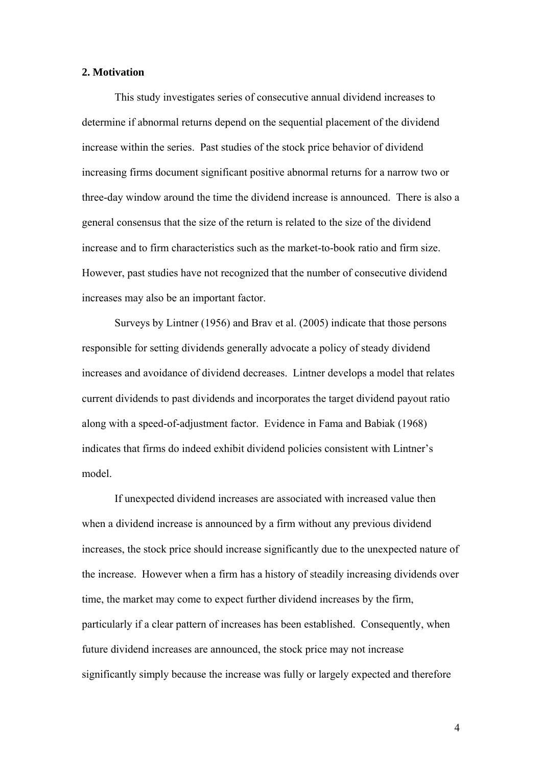### **2. Motivation**

This study investigates series of consecutive annual dividend increases to determine if abnormal returns depend on the sequential placement of the dividend increase within the series. Past studies of the stock price behavior of dividend increasing firms document significant positive abnormal returns for a narrow two or three-day window around the time the dividend increase is announced. There is also a general consensus that the size of the return is related to the size of the dividend increase and to firm characteristics such as the market-to-book ratio and firm size. However, past studies have not recognized that the number of consecutive dividend increases may also be an important factor.

Surveys by Lintner (1956) and Brav et al. (2005) indicate that those persons responsible for setting dividends generally advocate a policy of steady dividend increases and avoidance of dividend decreases. Lintner develops a model that relates current dividends to past dividends and incorporates the target dividend payout ratio along with a speed-of-adjustment factor. Evidence in Fama and Babiak (1968) indicates that firms do indeed exhibit dividend policies consistent with Lintner's model.

If unexpected dividend increases are associated with increased value then when a dividend increase is announced by a firm without any previous dividend increases, the stock price should increase significantly due to the unexpected nature of the increase. However when a firm has a history of steadily increasing dividends over time, the market may come to expect further dividend increases by the firm, particularly if a clear pattern of increases has been established. Consequently, when future dividend increases are announced, the stock price may not increase significantly simply because the increase was fully or largely expected and therefore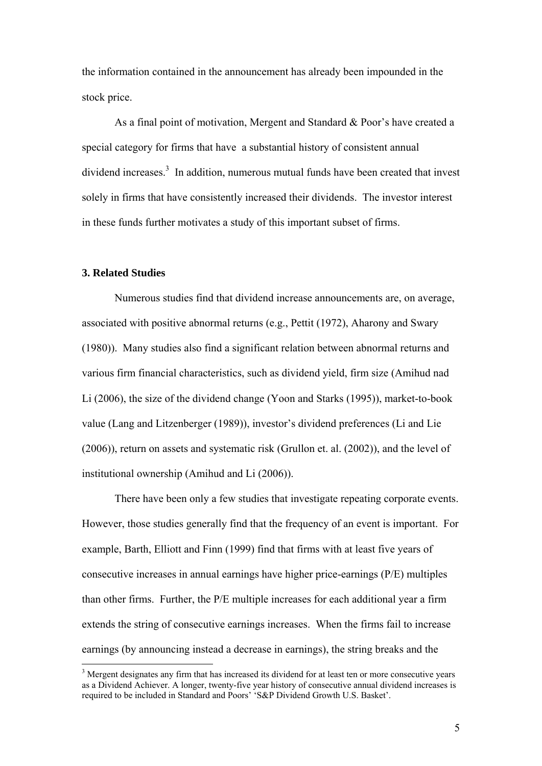the information contained in the announcement has already been impounded in the stock price.

As a final point of motivation, Mergent and Standard & Poor's have created a special category for firms that have a substantial history of consistent annual dividend increases.<sup>3</sup> In addition, numerous mutual funds have been created that invest solely in firms that have consistently increased their dividends. The investor interest in these funds further motivates a study of this important subset of firms.

## **3. Related Studies**

1

Numerous studies find that dividend increase announcements are, on average, associated with positive abnormal returns (e.g., Pettit (1972), Aharony and Swary (1980)). Many studies also find a significant relation between abnormal returns and various firm financial characteristics, such as dividend yield, firm size (Amihud nad Li (2006), the size of the dividend change (Yoon and Starks (1995)), market-to-book value (Lang and Litzenberger (1989)), investor's dividend preferences (Li and Lie (2006)), return on assets and systematic risk (Grullon et. al. (2002)), and the level of institutional ownership (Amihud and Li (2006)).

There have been only a few studies that investigate repeating corporate events. However, those studies generally find that the frequency of an event is important. For example, Barth, Elliott and Finn (1999) find that firms with at least five years of consecutive increases in annual earnings have higher price-earnings (P/E) multiples than other firms. Further, the P/E multiple increases for each additional year a firm extends the string of consecutive earnings increases. When the firms fail to increase earnings (by announcing instead a decrease in earnings), the string breaks and the

<sup>&</sup>lt;sup>3</sup> Mergent designates any firm that has increased its dividend for at least ten or more consecutive years as a Dividend Achiever. A longer, twenty-five year history of consecutive annual dividend increases is required to be included in Standard and Poors' 'S&P Dividend Growth U.S. Basket'.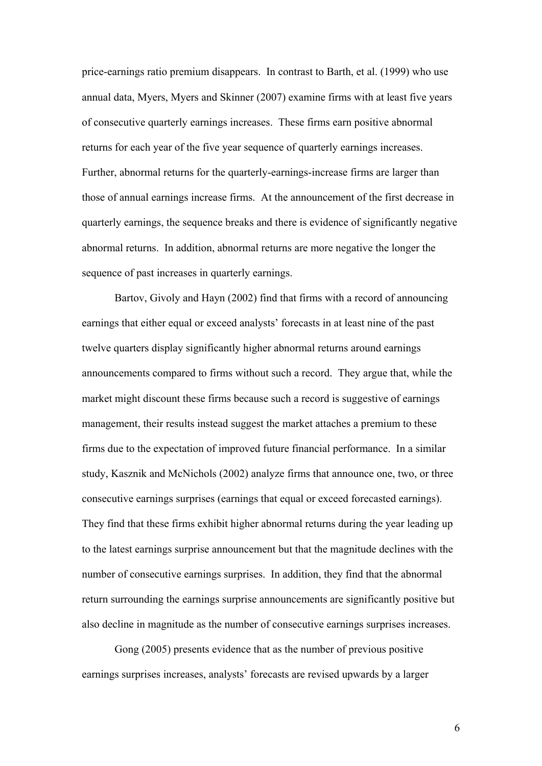price-earnings ratio premium disappears. In contrast to Barth, et al. (1999) who use annual data, Myers, Myers and Skinner (2007) examine firms with at least five years of consecutive quarterly earnings increases. These firms earn positive abnormal returns for each year of the five year sequence of quarterly earnings increases. Further, abnormal returns for the quarterly-earnings-increase firms are larger than those of annual earnings increase firms. At the announcement of the first decrease in quarterly earnings, the sequence breaks and there is evidence of significantly negative abnormal returns. In addition, abnormal returns are more negative the longer the sequence of past increases in quarterly earnings.

Bartov, Givoly and Hayn (2002) find that firms with a record of announcing earnings that either equal or exceed analysts' forecasts in at least nine of the past twelve quarters display significantly higher abnormal returns around earnings announcements compared to firms without such a record. They argue that, while the market might discount these firms because such a record is suggestive of earnings management, their results instead suggest the market attaches a premium to these firms due to the expectation of improved future financial performance. In a similar study, Kasznik and McNichols (2002) analyze firms that announce one, two, or three consecutive earnings surprises (earnings that equal or exceed forecasted earnings). They find that these firms exhibit higher abnormal returns during the year leading up to the latest earnings surprise announcement but that the magnitude declines with the number of consecutive earnings surprises. In addition, they find that the abnormal return surrounding the earnings surprise announcements are significantly positive but also decline in magnitude as the number of consecutive earnings surprises increases.

Gong (2005) presents evidence that as the number of previous positive earnings surprises increases, analysts' forecasts are revised upwards by a larger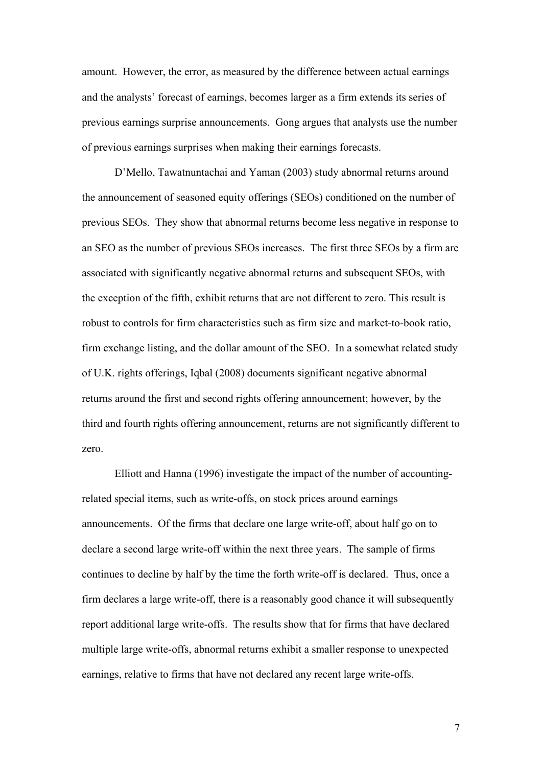amount. However, the error, as measured by the difference between actual earnings and the analysts' forecast of earnings, becomes larger as a firm extends its series of previous earnings surprise announcements. Gong argues that analysts use the number of previous earnings surprises when making their earnings forecasts.

 D'Mello, Tawatnuntachai and Yaman (2003) study abnormal returns around the announcement of seasoned equity offerings (SEOs) conditioned on the number of previous SEOs. They show that abnormal returns become less negative in response to an SEO as the number of previous SEOs increases. The first three SEOs by a firm are associated with significantly negative abnormal returns and subsequent SEOs, with the exception of the fifth, exhibit returns that are not different to zero. This result is robust to controls for firm characteristics such as firm size and market-to-book ratio, firm exchange listing, and the dollar amount of the SEO. In a somewhat related study of U.K. rights offerings, Iqbal (2008) documents significant negative abnormal returns around the first and second rights offering announcement; however, by the third and fourth rights offering announcement, returns are not significantly different to zero.

Elliott and Hanna (1996) investigate the impact of the number of accountingrelated special items, such as write-offs, on stock prices around earnings announcements. Of the firms that declare one large write-off, about half go on to declare a second large write-off within the next three years. The sample of firms continues to decline by half by the time the forth write-off is declared. Thus, once a firm declares a large write-off, there is a reasonably good chance it will subsequently report additional large write-offs. The results show that for firms that have declared multiple large write-offs, abnormal returns exhibit a smaller response to unexpected earnings, relative to firms that have not declared any recent large write-offs.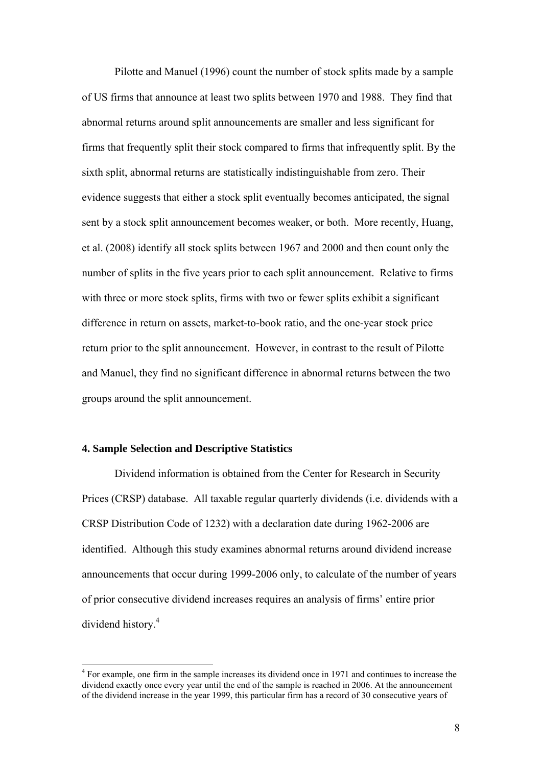Pilotte and Manuel (1996) count the number of stock splits made by a sample of US firms that announce at least two splits between 1970 and 1988. They find that abnormal returns around split announcements are smaller and less significant for firms that frequently split their stock compared to firms that infrequently split. By the sixth split, abnormal returns are statistically indistinguishable from zero. Their evidence suggests that either a stock split eventually becomes anticipated, the signal sent by a stock split announcement becomes weaker, or both. More recently, Huang, et al. (2008) identify all stock splits between 1967 and 2000 and then count only the number of splits in the five years prior to each split announcement. Relative to firms with three or more stock splits, firms with two or fewer splits exhibit a significant difference in return on assets, market-to-book ratio, and the one-year stock price return prior to the split announcement. However, in contrast to the result of Pilotte and Manuel, they find no significant difference in abnormal returns between the two groups around the split announcement.

### **4. Sample Selection and Descriptive Statistics**

1

Dividend information is obtained from the Center for Research in Security Prices (CRSP) database. All taxable regular quarterly dividends (i.e. dividends with a CRSP Distribution Code of 1232) with a declaration date during 1962-2006 are identified. Although this study examines abnormal returns around dividend increase announcements that occur during 1999-2006 only, to calculate of the number of years of prior consecutive dividend increases requires an analysis of firms' entire prior dividend history.4

<sup>&</sup>lt;sup>4</sup> For example, one firm in the sample increases its dividend once in 1971 and continues to increase the dividend exactly once every year until the end of the sample is reached in 2006. At the announcement of the dividend increase in the year 1999, this particular firm has a record of 30 consecutive years of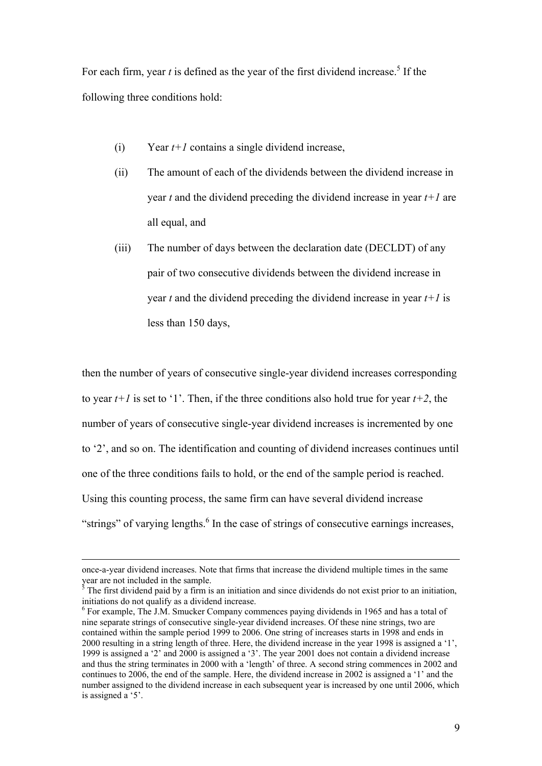For each firm, year  $t$  is defined as the year of the first dividend increase.<sup>5</sup> If the following three conditions hold:

- (i) Year  $t+1$  contains a single dividend increase,
- (ii) The amount of each of the dividends between the dividend increase in year *t* and the dividend preceding the dividend increase in year *t+1* are all equal, and
- (iii) The number of days between the declaration date (DECLDT) of any pair of two consecutive dividends between the dividend increase in year *t* and the dividend preceding the dividend increase in year *t+1* is less than 150 days,

then the number of years of consecutive single-year dividend increases corresponding to year  $t+1$  is set to '1'. Then, if the three conditions also hold true for year  $t+2$ , the number of years of consecutive single-year dividend increases is incremented by one to '2', and so on. The identification and counting of dividend increases continues until one of the three conditions fails to hold, or the end of the sample period is reached. Using this counting process, the same firm can have several dividend increase "strings" of varying lengths.<sup>6</sup> In the case of strings of consecutive earnings increases,

once-a-year dividend increases. Note that firms that increase the dividend multiple times in the same year are not included in the sample. 5 The first dividend paid by a firm is an initiation and since dividends do not exist prior to an initiation,

initiations do not qualify as a dividend increase.

<sup>&</sup>lt;sup>6</sup> For example, The J.M. Smucker Company commences paying dividends in 1965 and has a total of nine separate strings of consecutive single-year dividend increases. Of these nine strings, two are contained within the sample period 1999 to 2006. One string of increases starts in 1998 and ends in 2000 resulting in a string length of three. Here, the dividend increase in the year 1998 is assigned a '1', 1999 is assigned a '2' and 2000 is assigned a '3'. The year 2001 does not contain a dividend increase and thus the string terminates in 2000 with a 'length' of three. A second string commences in 2002 and continues to 2006, the end of the sample. Here, the dividend increase in 2002 is assigned a '1' and the number assigned to the dividend increase in each subsequent year is increased by one until 2006, which is assigned a '5'.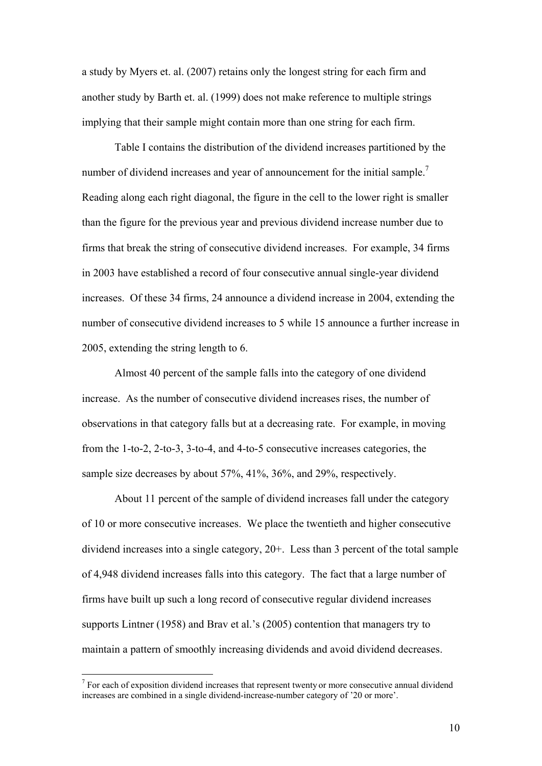a study by Myers et. al. (2007) retains only the longest string for each firm and another study by Barth et. al. (1999) does not make reference to multiple strings implying that their sample might contain more than one string for each firm.

Table I contains the distribution of the dividend increases partitioned by the number of dividend increases and year of announcement for the initial sample.<sup>7</sup> Reading along each right diagonal, the figure in the cell to the lower right is smaller than the figure for the previous year and previous dividend increase number due to firms that break the string of consecutive dividend increases. For example, 34 firms in 2003 have established a record of four consecutive annual single-year dividend increases. Of these 34 firms, 24 announce a dividend increase in 2004, extending the number of consecutive dividend increases to 5 while 15 announce a further increase in 2005, extending the string length to 6.

Almost 40 percent of the sample falls into the category of one dividend increase. As the number of consecutive dividend increases rises, the number of observations in that category falls but at a decreasing rate. For example, in moving from the 1-to-2, 2-to-3, 3-to-4, and 4-to-5 consecutive increases categories, the sample size decreases by about 57%, 41%, 36%, and 29%, respectively.

About 11 percent of the sample of dividend increases fall under the category of 10 or more consecutive increases. We place the twentieth and higher consecutive dividend increases into a single category, 20+. Less than 3 percent of the total sample of 4,948 dividend increases falls into this category. The fact that a large number of firms have built up such a long record of consecutive regular dividend increases supports Lintner (1958) and Brav et al.'s (2005) contention that managers try to maintain a pattern of smoothly increasing dividends and avoid dividend decreases.

 $<sup>7</sup>$  For each of exposition dividend increases that represent twenty or more consecutive annual dividend</sup> increases are combined in a single dividend-increase-number category of '20 or more'.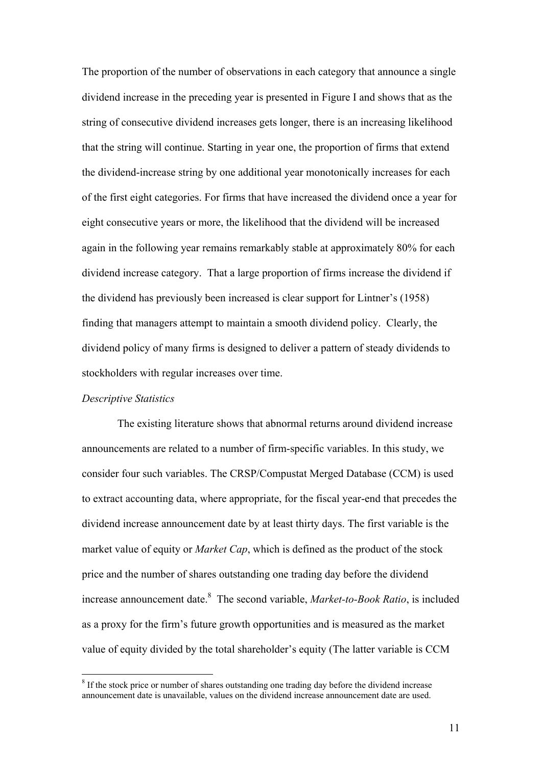The proportion of the number of observations in each category that announce a single dividend increase in the preceding year is presented in Figure I and shows that as the string of consecutive dividend increases gets longer, there is an increasing likelihood that the string will continue. Starting in year one, the proportion of firms that extend the dividend-increase string by one additional year monotonically increases for each of the first eight categories. For firms that have increased the dividend once a year for eight consecutive years or more, the likelihood that the dividend will be increased again in the following year remains remarkably stable at approximately 80% for each dividend increase category. That a large proportion of firms increase the dividend if the dividend has previously been increased is clear support for Lintner's (1958) finding that managers attempt to maintain a smooth dividend policy. Clearly, the dividend policy of many firms is designed to deliver a pattern of steady dividends to stockholders with regular increases over time.

#### *Descriptive Statistics*

1

 The existing literature shows that abnormal returns around dividend increase announcements are related to a number of firm-specific variables. In this study, we consider four such variables. The CRSP/Compustat Merged Database (CCM) is used to extract accounting data, where appropriate, for the fiscal year-end that precedes the dividend increase announcement date by at least thirty days. The first variable is the market value of equity or *Market Cap*, which is defined as the product of the stock price and the number of shares outstanding one trading day before the dividend increase announcement date.<sup>8</sup> The second variable, *Market-to-Book Ratio*, is included as a proxy for the firm's future growth opportunities and is measured as the market value of equity divided by the total shareholder's equity (The latter variable is CCM

<sup>&</sup>lt;sup>8</sup> If the stock price or number of shares outstanding one trading day before the dividend increase announcement date is unavailable, values on the dividend increase announcement date are used.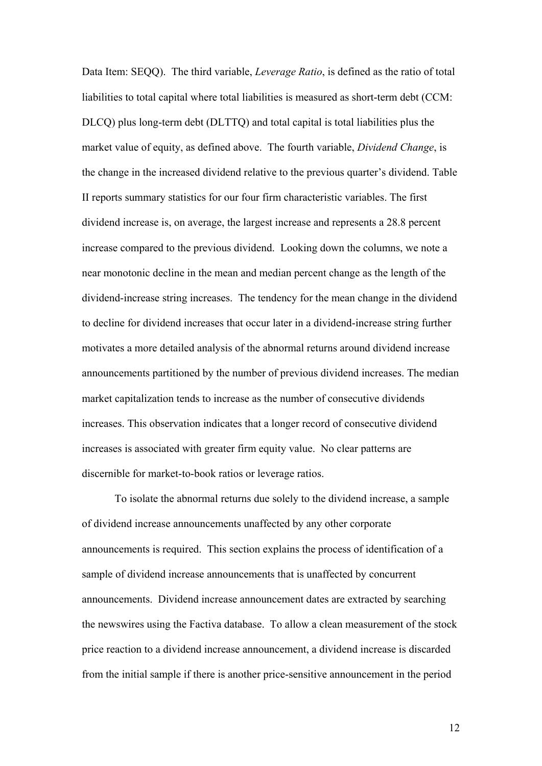Data Item: SEQQ). The third variable, *Leverage Ratio*, is defined as the ratio of total liabilities to total capital where total liabilities is measured as short-term debt (CCM: DLCQ) plus long-term debt (DLTTQ) and total capital is total liabilities plus the market value of equity, as defined above. The fourth variable, *Dividend Change*, is the change in the increased dividend relative to the previous quarter's dividend. Table II reports summary statistics for our four firm characteristic variables. The first dividend increase is, on average, the largest increase and represents a 28.8 percent increase compared to the previous dividend. Looking down the columns, we note a near monotonic decline in the mean and median percent change as the length of the dividend-increase string increases. The tendency for the mean change in the dividend to decline for dividend increases that occur later in a dividend-increase string further motivates a more detailed analysis of the abnormal returns around dividend increase announcements partitioned by the number of previous dividend increases. The median market capitalization tends to increase as the number of consecutive dividends increases. This observation indicates that a longer record of consecutive dividend increases is associated with greater firm equity value. No clear patterns are discernible for market-to-book ratios or leverage ratios.

To isolate the abnormal returns due solely to the dividend increase, a sample of dividend increase announcements unaffected by any other corporate announcements is required. This section explains the process of identification of a sample of dividend increase announcements that is unaffected by concurrent announcements. Dividend increase announcement dates are extracted by searching the newswires using the Factiva database. To allow a clean measurement of the stock price reaction to a dividend increase announcement, a dividend increase is discarded from the initial sample if there is another price-sensitive announcement in the period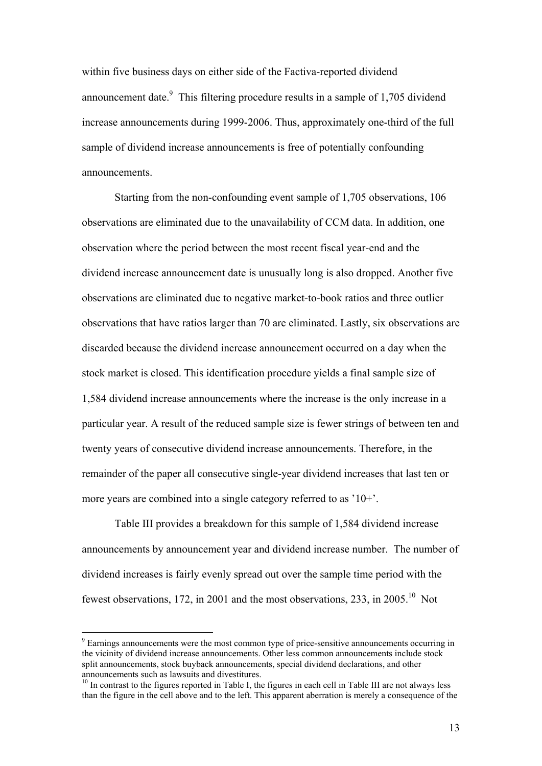within five business days on either side of the Factiva-reported dividend announcement date. $\degree$  This filtering procedure results in a sample of 1,705 dividend increase announcements during 1999-2006. Thus, approximately one-third of the full sample of dividend increase announcements is free of potentially confounding announcements.

Starting from the non-confounding event sample of 1,705 observations, 106 observations are eliminated due to the unavailability of CCM data. In addition, one observation where the period between the most recent fiscal year-end and the dividend increase announcement date is unusually long is also dropped. Another five observations are eliminated due to negative market-to-book ratios and three outlier observations that have ratios larger than 70 are eliminated. Lastly, six observations are discarded because the dividend increase announcement occurred on a day when the stock market is closed. This identification procedure yields a final sample size of 1,584 dividend increase announcements where the increase is the only increase in a particular year. A result of the reduced sample size is fewer strings of between ten and twenty years of consecutive dividend increase announcements. Therefore, in the remainder of the paper all consecutive single-year dividend increases that last ten or more years are combined into a single category referred to as '10+'.

Table III provides a breakdown for this sample of 1,584 dividend increase announcements by announcement year and dividend increase number. The number of dividend increases is fairly evenly spread out over the sample time period with the fewest observations, 172, in 2001 and the most observations, 233, in 2005.<sup>10</sup> Not

<sup>&</sup>lt;sup>9</sup> Earnings announcements were the most common type of price-sensitive announcements occurring in the vicinity of dividend increase announcements. Other less common announcements include stock split announcements, stock buyback announcements, special dividend declarations, and other announcements such as lawsuits and divestitures.

<sup>&</sup>lt;sup>10</sup> In contrast to the figures reported in Table I, the figures in each cell in Table III are not always less than the figure in the cell above and to the left. This apparent aberration is merely a consequence of the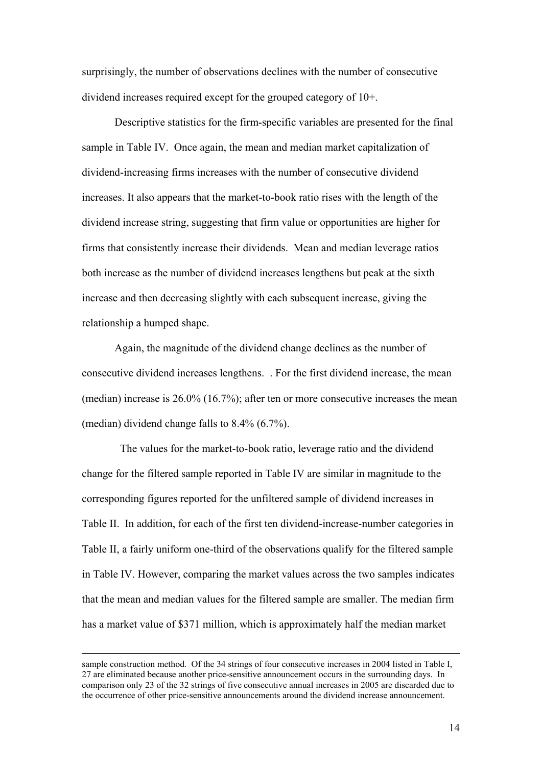surprisingly, the number of observations declines with the number of consecutive dividend increases required except for the grouped category of 10+.

Descriptive statistics for the firm-specific variables are presented for the final sample in Table IV. Once again, the mean and median market capitalization of dividend-increasing firms increases with the number of consecutive dividend increases. It also appears that the market-to-book ratio rises with the length of the dividend increase string, suggesting that firm value or opportunities are higher for firms that consistently increase their dividends. Mean and median leverage ratios both increase as the number of dividend increases lengthens but peak at the sixth increase and then decreasing slightly with each subsequent increase, giving the relationship a humped shape.

Again, the magnitude of the dividend change declines as the number of consecutive dividend increases lengthens. . For the first dividend increase, the mean (median) increase is 26.0% (16.7%); after ten or more consecutive increases the mean (median) dividend change falls to 8.4% (6.7%).

 The values for the market-to-book ratio, leverage ratio and the dividend change for the filtered sample reported in Table IV are similar in magnitude to the corresponding figures reported for the unfiltered sample of dividend increases in Table II. In addition, for each of the first ten dividend-increase-number categories in Table II, a fairly uniform one-third of the observations qualify for the filtered sample in Table IV. However, comparing the market values across the two samples indicates that the mean and median values for the filtered sample are smaller. The median firm has a market value of \$371 million, which is approximately half the median market

sample construction method. Of the 34 strings of four consecutive increases in 2004 listed in Table I, 27 are eliminated because another price-sensitive announcement occurs in the surrounding days. In comparison only 23 of the 32 strings of five consecutive annual increases in 2005 are discarded due to the occurrence of other price-sensitive announcements around the dividend increase announcement.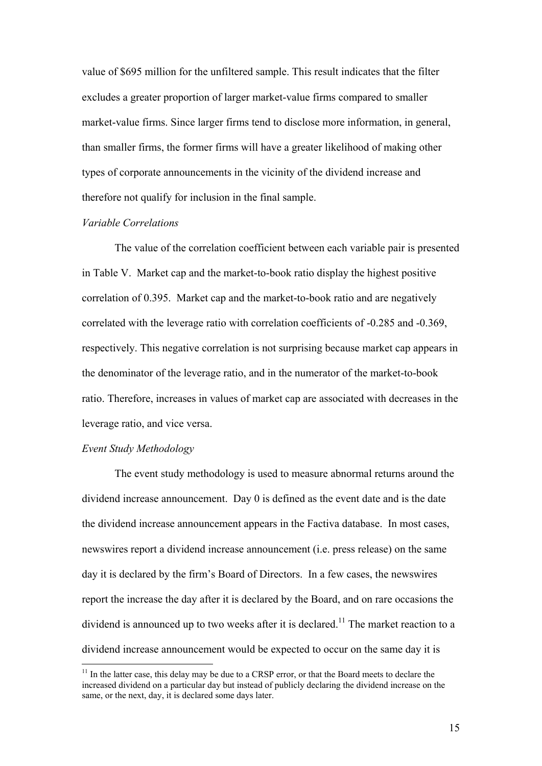value of \$695 million for the unfiltered sample. This result indicates that the filter excludes a greater proportion of larger market-value firms compared to smaller market-value firms. Since larger firms tend to disclose more information, in general, than smaller firms, the former firms will have a greater likelihood of making other types of corporate announcements in the vicinity of the dividend increase and therefore not qualify for inclusion in the final sample.

#### *Variable Correlations*

The value of the correlation coefficient between each variable pair is presented in Table V. Market cap and the market-to-book ratio display the highest positive correlation of 0.395. Market cap and the market-to-book ratio and are negatively correlated with the leverage ratio with correlation coefficients of -0.285 and -0.369, respectively. This negative correlation is not surprising because market cap appears in the denominator of the leverage ratio, and in the numerator of the market-to-book ratio. Therefore, increases in values of market cap are associated with decreases in the leverage ratio, and vice versa.

### *Event Study Methodology*

1

The event study methodology is used to measure abnormal returns around the dividend increase announcement. Day 0 is defined as the event date and is the date the dividend increase announcement appears in the Factiva database. In most cases, newswires report a dividend increase announcement (i.e. press release) on the same day it is declared by the firm's Board of Directors. In a few cases, the newswires report the increase the day after it is declared by the Board, and on rare occasions the dividend is announced up to two weeks after it is declared.<sup>11</sup> The market reaction to a dividend increase announcement would be expected to occur on the same day it is

 $11$  In the latter case, this delay may be due to a CRSP error, or that the Board meets to declare the increased dividend on a particular day but instead of publicly declaring the dividend increase on the same, or the next, day, it is declared some days later.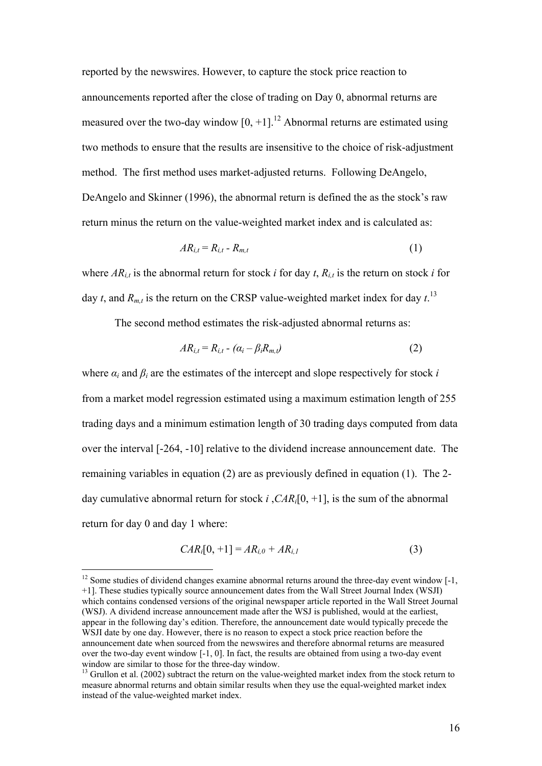reported by the newswires. However, to capture the stock price reaction to announcements reported after the close of trading on Day 0, abnormal returns are measured over the two-day window  $[0, +1]$ .<sup>12</sup> Abnormal returns are estimated using two methods to ensure that the results are insensitive to the choice of risk-adjustment method. The first method uses market-adjusted returns. Following DeAngelo, DeAngelo and Skinner (1996), the abnormal return is defined the as the stock's raw return minus the return on the value-weighted market index and is calculated as:

$$
AR_{i,t} = R_{i,t} - R_{m,t} \tag{1}
$$

where  $AR_{i,t}$  is the abnormal return for stock *i* for day *t*,  $R_{i,t}$  is the return on stock *i* for day *t*, and  $R_{m,t}$  is the return on the CRSP value-weighted market index for day  $t$ .<sup>13</sup>

The second method estimates the risk-adjusted abnormal returns as:

$$
AR_{i,t} = R_{i,t} - (\alpha_i - \beta_i R_{m,t})
$$
\n<sup>(2)</sup>

where  $\alpha_i$  and  $\beta_i$  are the estimates of the intercept and slope respectively for stock *i* from a market model regression estimated using a maximum estimation length of 255 trading days and a minimum estimation length of 30 trading days computed from data over the interval [-264, -10] relative to the dividend increase announcement date. The remaining variables in equation (2) are as previously defined in equation (1). The 2 day cumulative abnormal return for stock *i* ,*CARi*[0, +1], is the sum of the abnormal return for day 0 and day 1 where:

$$
CAR_i[0, +1] = AR_{i,0} + AR_{i,1}
$$
 (3)

 $12$  Some studies of dividend changes examine abnormal returns around the three-day event window  $\lceil -1 \rceil$ . +1]. These studies typically source announcement dates from the Wall Street Journal Index (WSJI) which contains condensed versions of the original newspaper article reported in the Wall Street Journal (WSJ). A dividend increase announcement made after the WSJ is published, would at the earliest, appear in the following day's edition. Therefore, the announcement date would typically precede the WSJI date by one day. However, there is no reason to expect a stock price reaction before the announcement date when sourced from the newswires and therefore abnormal returns are measured over the two-day event window [-1, 0]. In fact, the results are obtained from using a two-day event window are similar to those for the three-day window.

<sup>&</sup>lt;sup>13</sup> Grullon et al. (2002) subtract the return on the value-weighted market index from the stock return to measure abnormal returns and obtain similar results when they use the equal-weighted market index instead of the value-weighted market index.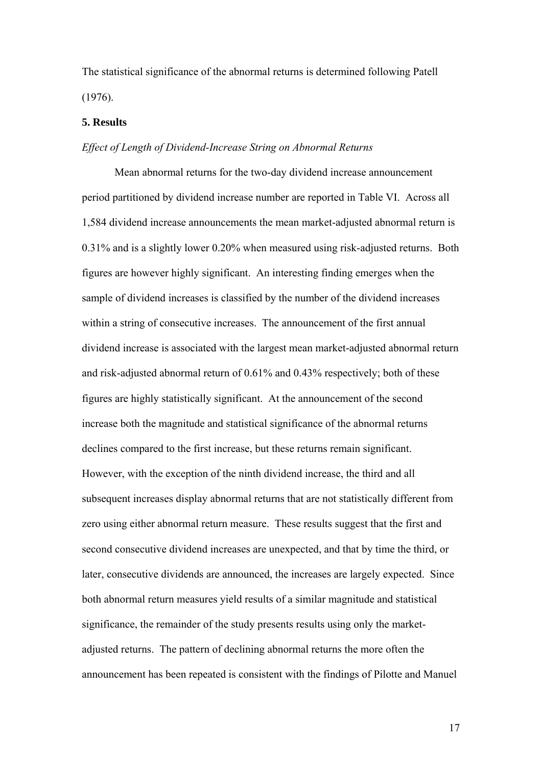The statistical significance of the abnormal returns is determined following Patell (1976).

### **5. Results**

#### *Effect of Length of Dividend-Increase String on Abnormal Returns*

Mean abnormal returns for the two-day dividend increase announcement period partitioned by dividend increase number are reported in Table VI. Across all 1,584 dividend increase announcements the mean market-adjusted abnormal return is 0.31% and is a slightly lower 0.20% when measured using risk-adjusted returns. Both figures are however highly significant. An interesting finding emerges when the sample of dividend increases is classified by the number of the dividend increases within a string of consecutive increases. The announcement of the first annual dividend increase is associated with the largest mean market-adjusted abnormal return and risk-adjusted abnormal return of 0.61% and 0.43% respectively; both of these figures are highly statistically significant. At the announcement of the second increase both the magnitude and statistical significance of the abnormal returns declines compared to the first increase, but these returns remain significant. However, with the exception of the ninth dividend increase, the third and all subsequent increases display abnormal returns that are not statistically different from zero using either abnormal return measure. These results suggest that the first and second consecutive dividend increases are unexpected, and that by time the third, or later, consecutive dividends are announced, the increases are largely expected. Since both abnormal return measures yield results of a similar magnitude and statistical significance, the remainder of the study presents results using only the marketadjusted returns. The pattern of declining abnormal returns the more often the announcement has been repeated is consistent with the findings of Pilotte and Manuel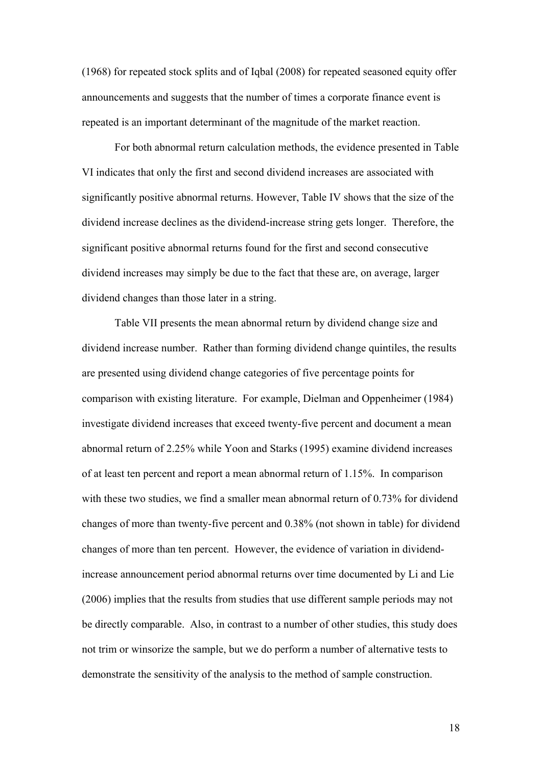(1968) for repeated stock splits and of Iqbal (2008) for repeated seasoned equity offer announcements and suggests that the number of times a corporate finance event is repeated is an important determinant of the magnitude of the market reaction.

For both abnormal return calculation methods, the evidence presented in Table VI indicates that only the first and second dividend increases are associated with significantly positive abnormal returns. However, Table IV shows that the size of the dividend increase declines as the dividend-increase string gets longer. Therefore, the significant positive abnormal returns found for the first and second consecutive dividend increases may simply be due to the fact that these are, on average, larger dividend changes than those later in a string.

Table VII presents the mean abnormal return by dividend change size and dividend increase number. Rather than forming dividend change quintiles, the results are presented using dividend change categories of five percentage points for comparison with existing literature. For example, Dielman and Oppenheimer (1984) investigate dividend increases that exceed twenty-five percent and document a mean abnormal return of 2.25% while Yoon and Starks (1995) examine dividend increases of at least ten percent and report a mean abnormal return of 1.15%. In comparison with these two studies, we find a smaller mean abnormal return of 0.73% for dividend changes of more than twenty-five percent and 0.38% (not shown in table) for dividend changes of more than ten percent. However, the evidence of variation in dividendincrease announcement period abnormal returns over time documented by Li and Lie (2006) implies that the results from studies that use different sample periods may not be directly comparable. Also, in contrast to a number of other studies, this study does not trim or winsorize the sample, but we do perform a number of alternative tests to demonstrate the sensitivity of the analysis to the method of sample construction.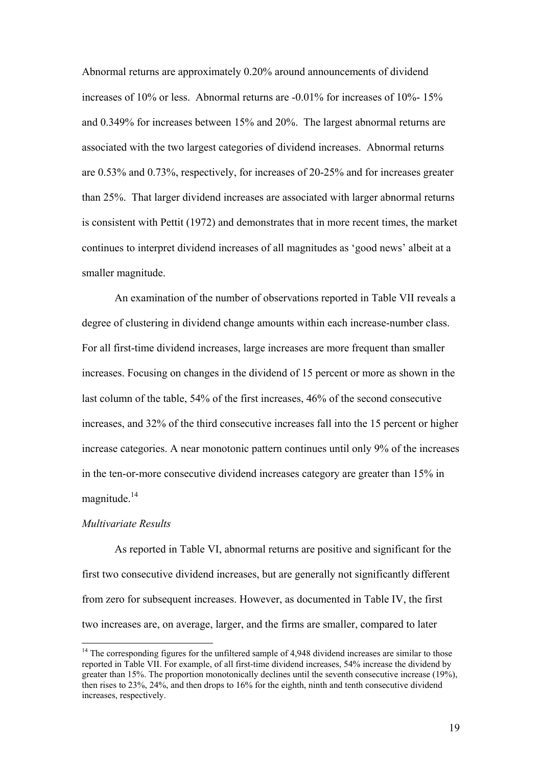Abnormal returns are approximately 0.20% around announcements of dividend increases of 10% or less. Abnormal returns are -0.01% for increases of 10%- 15% and 0.349% for increases between 15% and 20%. The largest abnormal returns are associated with the two largest categories of dividend increases. Abnormal returns are 0.53% and 0.73%, respectively, for increases of 20-25% and for increases greater than 25%. That larger dividend increases are associated with larger abnormal returns is consistent with Pettit (1972) and demonstrates that in more recent times, the market continues to interpret dividend increases of all magnitudes as 'good news' albeit at a smaller magnitude.

An examination of the number of observations reported in Table VII reveals a degree of clustering in dividend change amounts within each increase-number class. For all first-time dividend increases, large increases are more frequent than smaller increases. Focusing on changes in the dividend of 15 percent or more as shown in the last column of the table, 54% of the first increases, 46% of the second consecutive increases, and 32% of the third consecutive increases fall into the 15 percent or higher increase categories. A near monotonic pattern continues until only 9% of the increases in the ten-or-more consecutive dividend increases category are greater than 15% in magnitude $14$ 

## *Multivariate Results*

1

As reported in Table VI, abnormal returns are positive and significant for the first two consecutive dividend increases, but are generally not significantly different from zero for subsequent increases. However, as documented in Table IV, the first two increases are, on average, larger, and the firms are smaller, compared to later

 $14$  The corresponding figures for the unfiltered sample of 4,948 dividend increases are similar to those reported in Table VII. For example, of all first-time dividend increases, 54% increase the dividend by greater than 15%. The proportion monotonically declines until the seventh consecutive increase (19%), then rises to 23%, 24%, and then drops to 16% for the eighth, ninth and tenth consecutive dividend increases, respectively.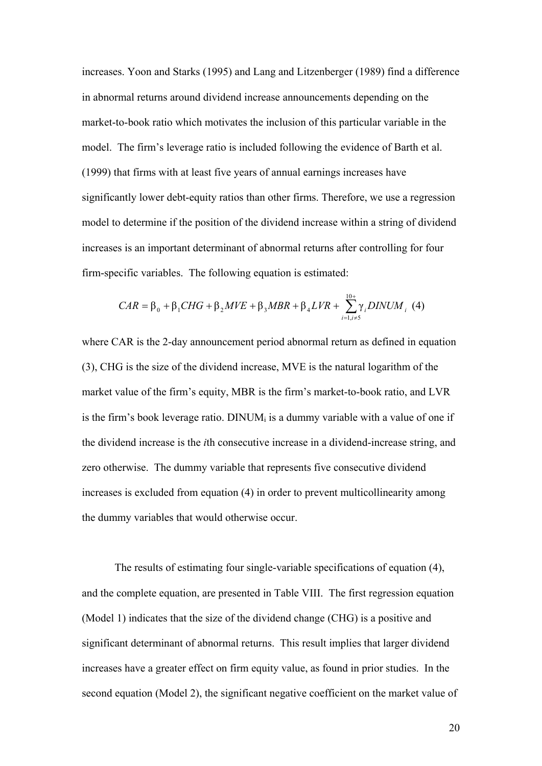increases. Yoon and Starks (1995) and Lang and Litzenberger (1989) find a difference in abnormal returns around dividend increase announcements depending on the market-to-book ratio which motivates the inclusion of this particular variable in the model. The firm's leverage ratio is included following the evidence of Barth et al. (1999) that firms with at least five years of annual earnings increases have significantly lower debt-equity ratios than other firms. Therefore, we use a regression model to determine if the position of the dividend increase within a string of dividend increases is an important determinant of abnormal returns after controlling for four firm-specific variables. The following equation is estimated:

$$
CAR = \beta_0 + \beta_1 CHG + \beta_2 MVE + \beta_3 MBR + \beta_4 LVR + \sum_{i=1, i \neq 5}^{10+} \gamma_i DINUM_i \tag{4}
$$

where CAR is the 2-day announcement period abnormal return as defined in equation (3), CHG is the size of the dividend increase, MVE is the natural logarithm of the market value of the firm's equity, MBR is the firm's market-to-book ratio, and LVR is the firm's book leverage ratio. DINUM<sub>i</sub> is a dummy variable with a value of one if the dividend increase is the *i*th consecutive increase in a dividend-increase string, and zero otherwise. The dummy variable that represents five consecutive dividend increases is excluded from equation (4) in order to prevent multicollinearity among the dummy variables that would otherwise occur.

The results of estimating four single-variable specifications of equation (4), and the complete equation, are presented in Table VIII. The first regression equation (Model 1) indicates that the size of the dividend change (CHG) is a positive and significant determinant of abnormal returns. This result implies that larger dividend increases have a greater effect on firm equity value, as found in prior studies. In the second equation (Model 2), the significant negative coefficient on the market value of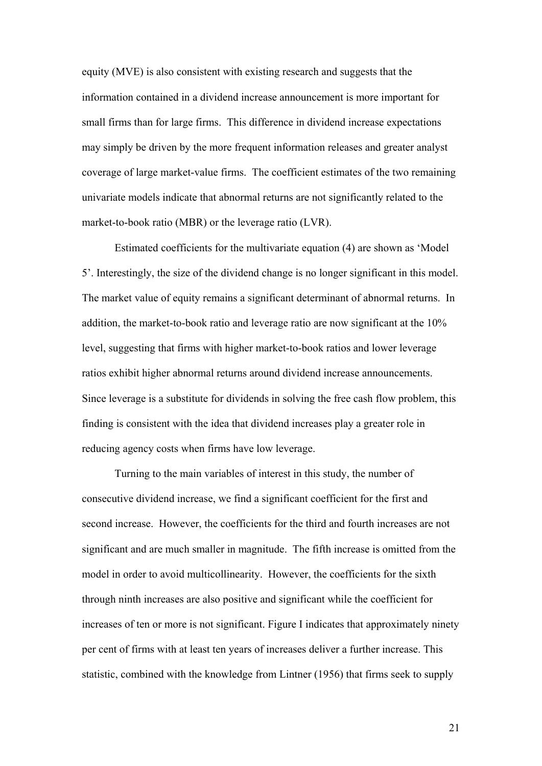equity (MVE) is also consistent with existing research and suggests that the information contained in a dividend increase announcement is more important for small firms than for large firms. This difference in dividend increase expectations may simply be driven by the more frequent information releases and greater analyst coverage of large market-value firms. The coefficient estimates of the two remaining univariate models indicate that abnormal returns are not significantly related to the market-to-book ratio (MBR) or the leverage ratio (LVR).

Estimated coefficients for the multivariate equation (4) are shown as 'Model 5'. Interestingly, the size of the dividend change is no longer significant in this model. The market value of equity remains a significant determinant of abnormal returns. In addition, the market-to-book ratio and leverage ratio are now significant at the 10% level, suggesting that firms with higher market-to-book ratios and lower leverage ratios exhibit higher abnormal returns around dividend increase announcements. Since leverage is a substitute for dividends in solving the free cash flow problem, this finding is consistent with the idea that dividend increases play a greater role in reducing agency costs when firms have low leverage.

Turning to the main variables of interest in this study, the number of consecutive dividend increase, we find a significant coefficient for the first and second increase. However, the coefficients for the third and fourth increases are not significant and are much smaller in magnitude. The fifth increase is omitted from the model in order to avoid multicollinearity. However, the coefficients for the sixth through ninth increases are also positive and significant while the coefficient for increases of ten or more is not significant. Figure I indicates that approximately ninety per cent of firms with at least ten years of increases deliver a further increase. This statistic, combined with the knowledge from Lintner (1956) that firms seek to supply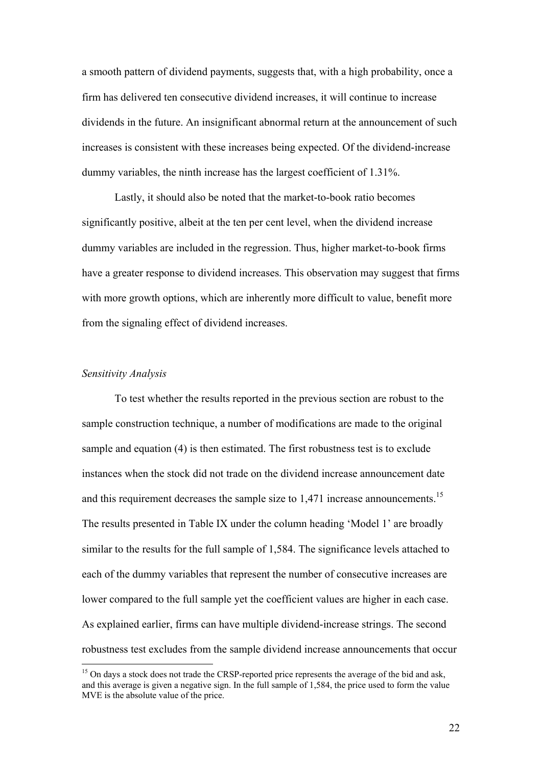a smooth pattern of dividend payments, suggests that, with a high probability, once a firm has delivered ten consecutive dividend increases, it will continue to increase dividends in the future. An insignificant abnormal return at the announcement of such increases is consistent with these increases being expected. Of the dividend-increase dummy variables, the ninth increase has the largest coefficient of 1.31%.

Lastly, it should also be noted that the market-to-book ratio becomes significantly positive, albeit at the ten per cent level, when the dividend increase dummy variables are included in the regression. Thus, higher market-to-book firms have a greater response to dividend increases. This observation may suggest that firms with more growth options, which are inherently more difficult to value, benefit more from the signaling effect of dividend increases.

# *Sensitivity Analysis*

1

To test whether the results reported in the previous section are robust to the sample construction technique, a number of modifications are made to the original sample and equation (4) is then estimated. The first robustness test is to exclude instances when the stock did not trade on the dividend increase announcement date and this requirement decreases the sample size to  $1,471$  increase announcements.<sup>15</sup> The results presented in Table IX under the column heading 'Model 1' are broadly similar to the results for the full sample of 1,584. The significance levels attached to each of the dummy variables that represent the number of consecutive increases are lower compared to the full sample yet the coefficient values are higher in each case. As explained earlier, firms can have multiple dividend-increase strings. The second robustness test excludes from the sample dividend increase announcements that occur

<sup>&</sup>lt;sup>15</sup> On days a stock does not trade the CRSP-reported price represents the average of the bid and ask. and this average is given a negative sign. In the full sample of 1,584, the price used to form the value MVE is the absolute value of the price.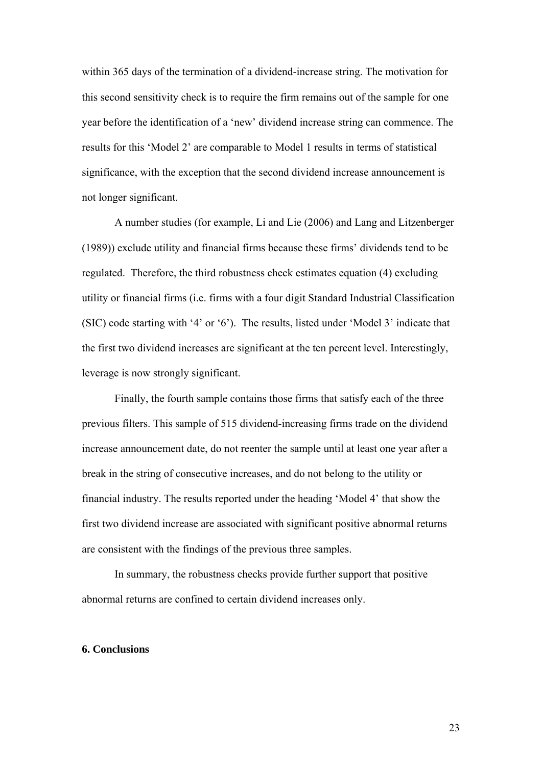within 365 days of the termination of a dividend-increase string. The motivation for this second sensitivity check is to require the firm remains out of the sample for one year before the identification of a 'new' dividend increase string can commence. The results for this 'Model 2' are comparable to Model 1 results in terms of statistical significance, with the exception that the second dividend increase announcement is not longer significant.

A number studies (for example, Li and Lie (2006) and Lang and Litzenberger (1989)) exclude utility and financial firms because these firms' dividends tend to be regulated. Therefore, the third robustness check estimates equation (4) excluding utility or financial firms (i.e. firms with a four digit Standard Industrial Classification (SIC) code starting with '4' or '6'). The results, listed under 'Model 3' indicate that the first two dividend increases are significant at the ten percent level. Interestingly, leverage is now strongly significant.

Finally, the fourth sample contains those firms that satisfy each of the three previous filters. This sample of 515 dividend-increasing firms trade on the dividend increase announcement date, do not reenter the sample until at least one year after a break in the string of consecutive increases, and do not belong to the utility or financial industry. The results reported under the heading 'Model 4' that show the first two dividend increase are associated with significant positive abnormal returns are consistent with the findings of the previous three samples.

In summary, the robustness checks provide further support that positive abnormal returns are confined to certain dividend increases only.

#### **6. Conclusions**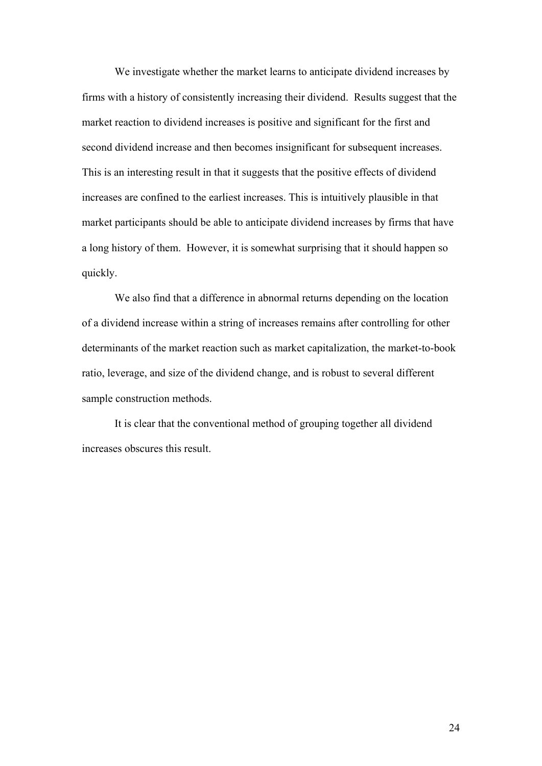We investigate whether the market learns to anticipate dividend increases by firms with a history of consistently increasing their dividend. Results suggest that the market reaction to dividend increases is positive and significant for the first and second dividend increase and then becomes insignificant for subsequent increases. This is an interesting result in that it suggests that the positive effects of dividend increases are confined to the earliest increases. This is intuitively plausible in that market participants should be able to anticipate dividend increases by firms that have a long history of them. However, it is somewhat surprising that it should happen so quickly.

 We also find that a difference in abnormal returns depending on the location of a dividend increase within a string of increases remains after controlling for other determinants of the market reaction such as market capitalization, the market-to-book ratio, leverage, and size of the dividend change, and is robust to several different sample construction methods.

It is clear that the conventional method of grouping together all dividend increases obscures this result.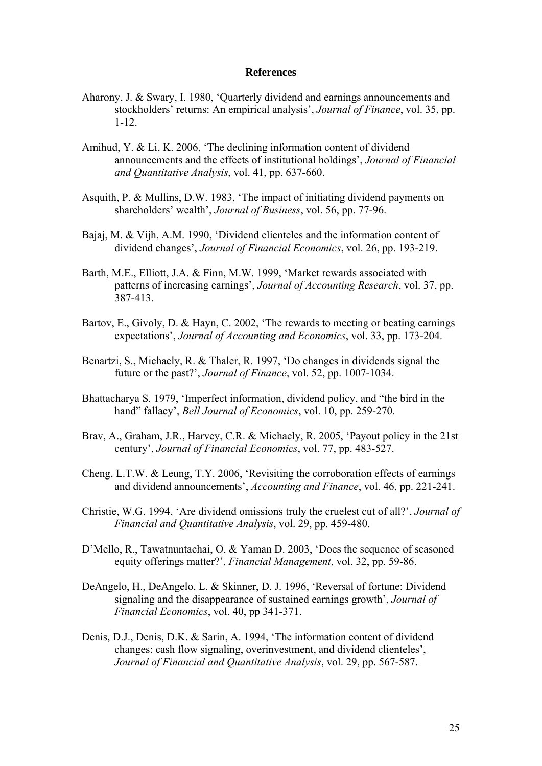#### **References**

- Aharony, J. & Swary, I. 1980, 'Quarterly dividend and earnings announcements and stockholders' returns: An empirical analysis', *Journal of Finance*, vol. 35, pp. 1-12.
- Amihud, Y. & Li, K. 2006, 'The declining information content of dividend announcements and the effects of institutional holdings', *Journal of Financial and Quantitative Analysis*, vol. 41, pp. 637-660.
- Asquith, P. & Mullins, D.W. 1983, 'The impact of initiating dividend payments on shareholders' wealth', *Journal of Business*, vol. 56, pp. 77-96.
- Bajaj, M. & Vijh, A.M. 1990, 'Dividend clienteles and the information content of dividend changes', *Journal of Financial Economics*, vol. 26, pp. 193-219.
- Barth, M.E., Elliott, J.A. & Finn, M.W. 1999, 'Market rewards associated with patterns of increasing earnings', *Journal of Accounting Research*, vol. 37, pp. 387-413.
- Bartov, E., Givoly, D. & Hayn, C. 2002, 'The rewards to meeting or beating earnings expectations', *Journal of Accounting and Economics*, vol. 33, pp. 173-204.
- Benartzi, S., Michaely, R. & Thaler, R. 1997, 'Do changes in dividends signal the future or the past?', *Journal of Finance*, vol. 52, pp. 1007-1034.
- Bhattacharya S. 1979, 'Imperfect information, dividend policy, and "the bird in the hand" fallacy', *Bell Journal of Economics*, vol. 10, pp. 259-270.
- Brav, A., Graham, J.R., Harvey, C.R. & Michaely, R. 2005, 'Payout policy in the 21st century', *Journal of Financial Economics*, vol. 77, pp. 483-527.
- Cheng, L.T.W. & Leung, T.Y. 2006, 'Revisiting the corroboration effects of earnings and dividend announcements', *Accounting and Finance*, vol. 46, pp. 221-241.
- Christie, W.G. 1994, 'Are dividend omissions truly the cruelest cut of all?', *Journal of Financial and Quantitative Analysis*, vol. 29, pp. 459-480.
- D'Mello, R., Tawatnuntachai, O. & Yaman D. 2003, 'Does the sequence of seasoned equity offerings matter?', *Financial Management*, vol. 32, pp. 59-86.
- DeAngelo, H., DeAngelo, L. & Skinner, D. J. 1996, 'Reversal of fortune: Dividend signaling and the disappearance of sustained earnings growth', *Journal of Financial Economics*, vol. 40, pp 341-371.
- Denis, D.J., Denis, D.K. & Sarin, A. 1994, 'The information content of dividend changes: cash flow signaling, overinvestment, and dividend clienteles', *Journal of Financial and Quantitative Analysis*, vol. 29, pp. 567-587.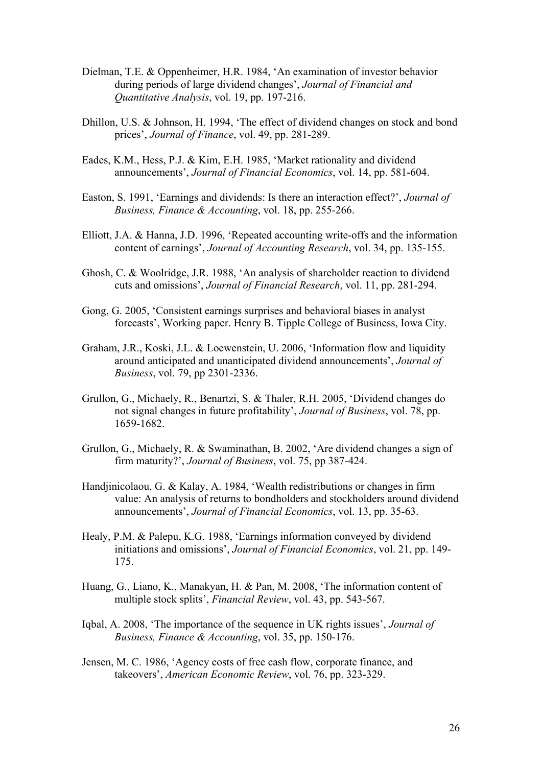- Dielman, T.E. & Oppenheimer, H.R. 1984, 'An examination of investor behavior during periods of large dividend changes', *Journal of Financial and Quantitative Analysis*, vol. 19, pp. 197-216.
- Dhillon, U.S. & Johnson, H. 1994, 'The effect of dividend changes on stock and bond prices', *Journal of Finance*, vol. 49, pp. 281-289.
- Eades, K.M., Hess, P.J. & Kim, E.H. 1985, 'Market rationality and dividend announcements', *Journal of Financial Economics*, vol. 14, pp. 581-604.
- Easton, S. 1991, 'Earnings and dividends: Is there an interaction effect?', *Journal of Business, Finance & Accounting*, vol. 18, pp. 255-266.
- Elliott, J.A. & Hanna, J.D. 1996, 'Repeated accounting write-offs and the information content of earnings', *Journal of Accounting Research*, vol. 34, pp. 135-155.
- Ghosh, C. & Woolridge, J.R. 1988, 'An analysis of shareholder reaction to dividend cuts and omissions', *Journal of Financial Research*, vol. 11, pp. 281-294.
- Gong, G. 2005, 'Consistent earnings surprises and behavioral biases in analyst forecasts', Working paper. Henry B. Tipple College of Business, Iowa City.
- Graham, J.R., Koski, J.L. & Loewenstein, U. 2006, 'Information flow and liquidity around anticipated and unanticipated dividend announcements', *Journal of Business*, vol. 79, pp 2301-2336.
- Grullon, G., Michaely, R., Benartzi, S. & Thaler, R.H. 2005, 'Dividend changes do not signal changes in future profitability', *Journal of Business*, vol. 78, pp. 1659-1682.
- Grullon, G., Michaely, R. & Swaminathan, B. 2002, 'Are dividend changes a sign of firm maturity?', *Journal of Business*, vol. 75, pp 387-424.
- Handjinicolaou, G. & Kalay, A. 1984, 'Wealth redistributions or changes in firm value: An analysis of returns to bondholders and stockholders around dividend announcements', *Journal of Financial Economics*, vol. 13, pp. 35-63.
- Healy, P.M. & Palepu, K.G. 1988, 'Earnings information conveyed by dividend initiations and omissions', *Journal of Financial Economics*, vol. 21, pp. 149- 175.
- Huang, G., Liano, K., Manakyan, H. & Pan, M. 2008, 'The information content of multiple stock splits', *Financial Review*, vol. 43, pp. 543-567.
- Iqbal, A. 2008, 'The importance of the sequence in UK rights issues', *Journal of Business, Finance & Accounting*, vol. 35, pp. 150-176.
- Jensen, M. C. 1986, 'Agency costs of free cash flow, corporate finance, and takeovers', *American Economic Review*, vol. 76, pp. 323-329.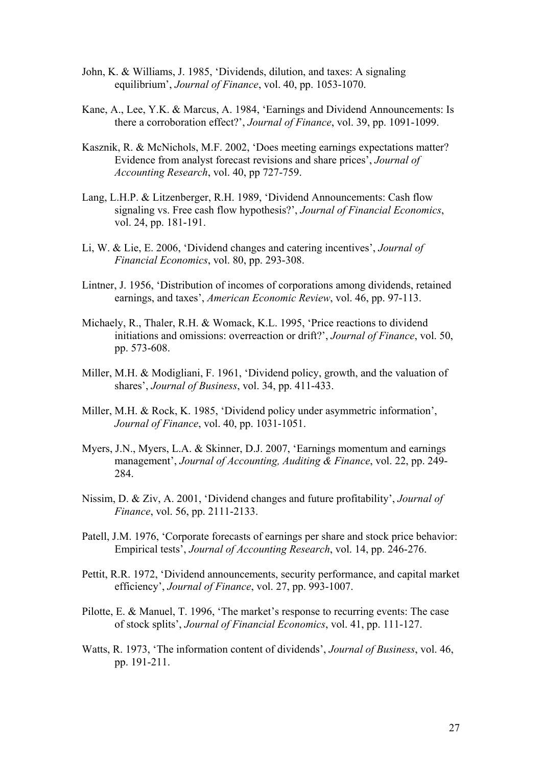- John, K. & Williams, J. 1985, 'Dividends, dilution, and taxes: A signaling equilibrium', *Journal of Finance*, vol. 40, pp. 1053-1070.
- Kane, A., Lee, Y.K. & Marcus, A. 1984, 'Earnings and Dividend Announcements: Is there a corroboration effect?', *Journal of Finance*, vol. 39, pp. 1091-1099.
- Kasznik, R. & McNichols, M.F. 2002, 'Does meeting earnings expectations matter? Evidence from analyst forecast revisions and share prices', *Journal of Accounting Research*, vol. 40, pp 727-759.
- Lang, L.H.P. & Litzenberger, R.H. 1989, 'Dividend Announcements: Cash flow signaling vs. Free cash flow hypothesis?', *Journal of Financial Economics*, vol. 24, pp. 181-191.
- Li, W. & Lie, E. 2006, 'Dividend changes and catering incentives', *Journal of Financial Economics*, vol. 80, pp. 293-308.
- Lintner, J. 1956, 'Distribution of incomes of corporations among dividends, retained earnings, and taxes', *American Economic Review*, vol. 46, pp. 97-113.
- Michaely, R., Thaler, R.H. & Womack, K.L. 1995, 'Price reactions to dividend initiations and omissions: overreaction or drift?', *Journal of Finance*, vol. 50, pp. 573-608.
- Miller, M.H. & Modigliani, F. 1961, 'Dividend policy, growth, and the valuation of shares', *Journal of Business*, vol. 34, pp. 411-433.
- Miller, M.H. & Rock, K. 1985, 'Dividend policy under asymmetric information', *Journal of Finance*, vol. 40, pp. 1031-1051.
- Myers, J.N., Myers, L.A. & Skinner, D.J. 2007, 'Earnings momentum and earnings management', *Journal of Accounting, Auditing & Finance*, vol. 22, pp. 249- 284.
- Nissim, D. & Ziv, A. 2001, 'Dividend changes and future profitability', *Journal of Finance*, vol. 56, pp. 2111-2133.
- Patell, J.M. 1976, 'Corporate forecasts of earnings per share and stock price behavior: Empirical tests', *Journal of Accounting Research*, vol. 14, pp. 246-276.
- Pettit, R.R. 1972, 'Dividend announcements, security performance, and capital market efficiency', *Journal of Finance*, vol. 27, pp. 993-1007.
- Pilotte, E. & Manuel, T. 1996, 'The market's response to recurring events: The case of stock splits', *Journal of Financial Economics*, vol. 41, pp. 111-127.
- Watts, R. 1973, 'The information content of dividends', *Journal of Business*, vol. 46, pp. 191-211.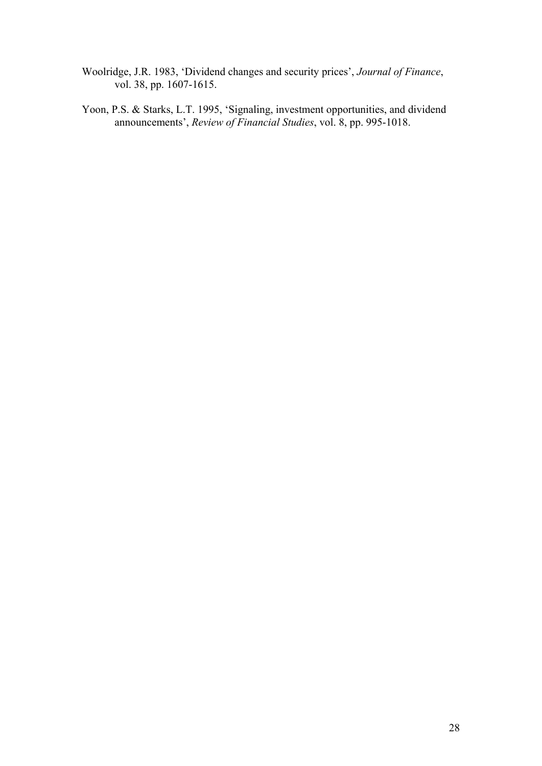- Woolridge, J.R. 1983, 'Dividend changes and security prices', *Journal of Finance*, vol. 38, pp. 1607-1615.
- Yoon, P.S. & Starks, L.T. 1995, 'Signaling, investment opportunities, and dividend announcements', *Review of Financial Studies*, vol. 8, pp. 995-1018.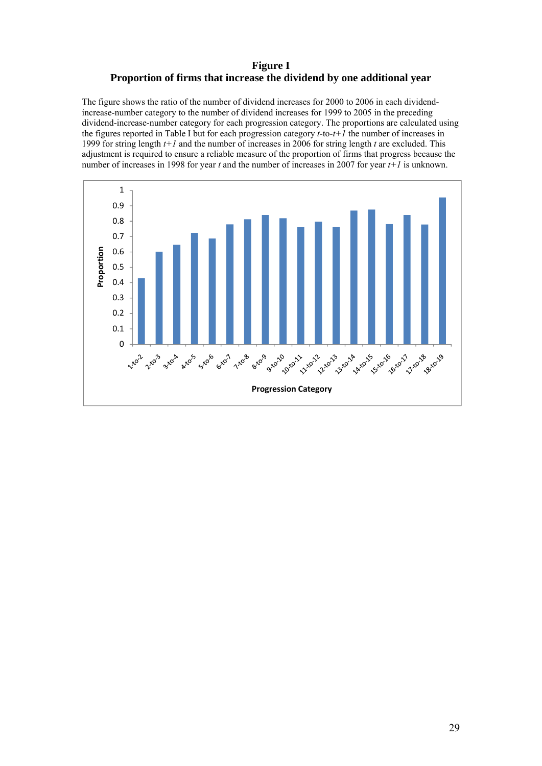# **Figure I Proportion of firms that increase the dividend by one additional year**

The figure shows the ratio of the number of dividend increases for 2000 to 2006 in each dividendincrease-number category to the number of dividend increases for 1999 to 2005 in the preceding dividend-increase-number category for each progression category. The proportions are calculated using the figures reported in Table I but for each progression category *t*-to-*t+1* the number of increases in 1999 for string length *t+1* and the number of increases in 2006 for string length *t* are excluded. This adjustment is required to ensure a reliable measure of the proportion of firms that progress because the number of increases in 1998 for year *t* and the number of increases in 2007 for year *t+1* is unknown.

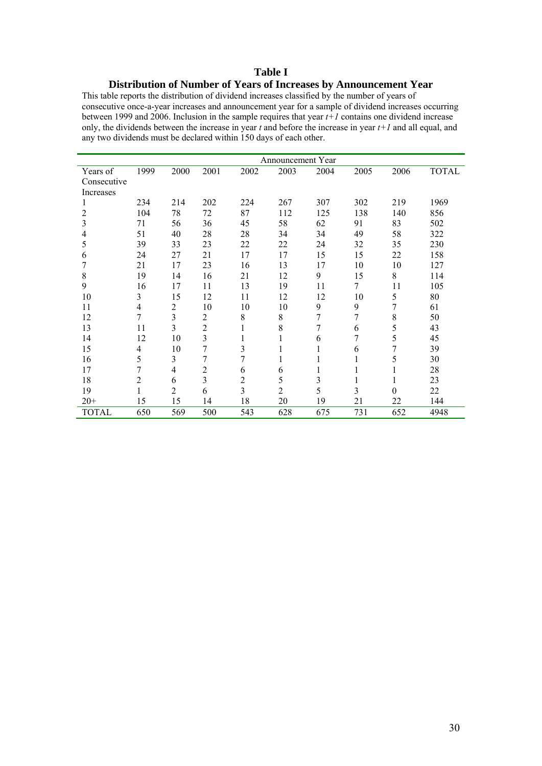#### **Table I**

# **Distribution of Number of Years of Increases by Announcement Year**

This table reports the distribution of dividend increases classified by the number of years of consecutive once-a-year increases and announcement year for a sample of dividend increases occurring between 1999 and 2006. Inclusion in the sample requires that year *t+1* contains one dividend increase only, the dividends between the increase in year *t* and before the increase in year *t+1* and all equal, and any two dividends must be declared within 150 days of each other.

|              | Announcement Year |      |                |                |                |      |      |          |              |
|--------------|-------------------|------|----------------|----------------|----------------|------|------|----------|--------------|
| Years of     | 1999              | 2000 | 2001           | 2002           | 2003           | 2004 | 2005 | 2006     | <b>TOTAL</b> |
| Consecutive  |                   |      |                |                |                |      |      |          |              |
| Increases    |                   |      |                |                |                |      |      |          |              |
| I.           | 234               | 214  | 202            | 224            | 267            | 307  | 302  | 219      | 1969         |
| 2            | 104               | 78   | 72             | 87             | 112            | 125  | 138  | 140      | 856          |
| 3            | 71                | 56   | 36             | 45             | 58             | 62   | 91   | 83       | 502          |
| 4            | 51                | 40   | 28             | 28             | 34             | 34   | 49   | 58       | 322          |
| 5            | 39                | 33   | 23             | 22             | 22             | 24   | 32   | 35       | 230          |
| 6            | 24                | 27   | 21             | 17             | 17             | 15   | 15   | 22       | 158          |
| 7            | 21                | 17   | 23             | 16             | 13             | 17   | 10   | 10       | 127          |
| $8\,$        | 19                | 14   | 16             | 21             | 12             | 9    | 15   | 8        | 114          |
| 9            | 16                | 17   | 11             | 13             | 19             | 11   | 7    | 11       | 105          |
| 10           | 3                 | 15   | 12             | 11             | 12             | 12   | 10   | 5        | 80           |
| 11           | $\overline{4}$    | 2    | 10             | 10             | 10             | 9    | 9    | 7        | 61           |
| 12           | 7                 | 3    | $\overline{2}$ | $8\,$          | $8\,$          | 7    | 7    | 8        | 50           |
| 13           | 11                | 3    | $\overline{2}$ | 1              | 8              | 7    | 6    | 5        | 43           |
| 14           | 12                | 10   | $\mathfrak{Z}$ | 1              |                | 6    | 7    | 5        | 45           |
| 15           | 4                 | 10   | 7              | 3              |                | 1    | 6    | 7        | 39           |
| 16           | 5                 | 3    | 7              | 7              |                |      | 1    | 5        | 30           |
| 17           | 7                 | 4    | $\overline{c}$ | 6              | 6              | 1    |      |          | 28           |
| 18           | $\overline{2}$    | 6    | $\overline{3}$ | $\overline{c}$ | 5              | 3    |      | 1        | 23           |
| 19           | 1                 | 2    | 6              | 3              | $\overline{2}$ | 5    | 3    | $\theta$ | 22           |
| $20+$        | 15                | 15   | 14             | 18             | 20             | 19   | 21   | 22       | 144          |
| <b>TOTAL</b> | 650               | 569  | 500            | 543            | 628            | 675  | 731  | 652      | 4948         |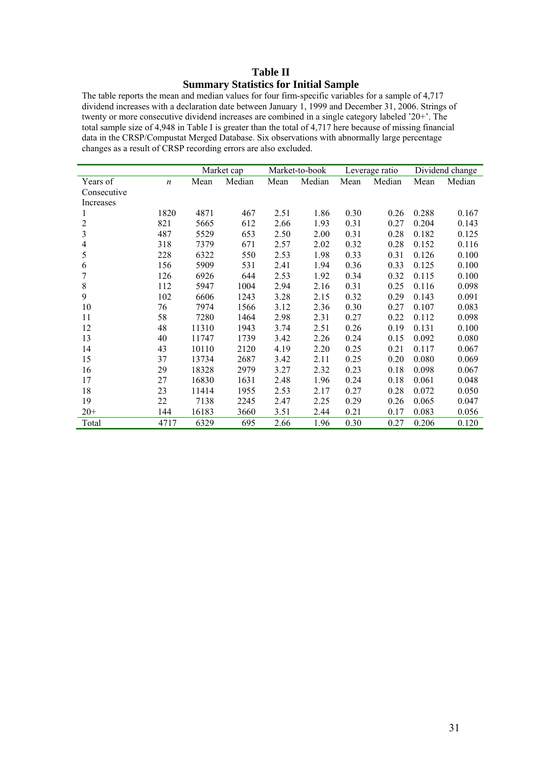## **Table II Summary Statistics for Initial Sample**

The table reports the mean and median values for four firm-specific variables for a sample of 4,717 dividend increases with a declaration date between January 1, 1999 and December 31, 2006. Strings of twenty or more consecutive dividend increases are combined in a single category labeled '20+'. The total sample size of 4,948 in Table I is greater than the total of 4,717 here because of missing financial data in the CRSP/Compustat Merged Database. Six observations with abnormally large percentage changes as a result of CRSP recording errors are also excluded.

|                         |                  |       | Market cap |      | Market-to-book |      | Leverage ratio |       | Dividend change |
|-------------------------|------------------|-------|------------|------|----------------|------|----------------|-------|-----------------|
| Years of                | $\boldsymbol{n}$ | Mean  | Median     | Mean | Median         | Mean | Median         | Mean  | Median          |
| Consecutive             |                  |       |            |      |                |      |                |       |                 |
| Increases               |                  |       |            |      |                |      |                |       |                 |
| 1                       | 1820             | 4871  | 467        | 2.51 | 1.86           | 0.30 | 0.26           | 0.288 | 0.167           |
| $\overline{c}$          | 821              | 5665  | 612        | 2.66 | 1.93           | 0.31 | 0.27           | 0.204 | 0.143           |
| $\overline{\mathbf{3}}$ | 487              | 5529  | 653        | 2.50 | 2.00           | 0.31 | 0.28           | 0.182 | 0.125           |
| 4                       | 318              | 7379  | 671        | 2.57 | 2.02           | 0.32 | 0.28           | 0.152 | 0.116           |
| 5                       | 228              | 6322  | 550        | 2.53 | 1.98           | 0.33 | 0.31           | 0.126 | 0.100           |
| 6                       | 156              | 5909  | 531        | 2.41 | 1.94           | 0.36 | 0.33           | 0.125 | 0.100           |
| 7                       | 126              | 6926  | 644        | 2.53 | 1.92           | 0.34 | 0.32           | 0.115 | 0.100           |
| 8                       | 112              | 5947  | 1004       | 2.94 | 2.16           | 0.31 | 0.25           | 0.116 | 0.098           |
| 9                       | 102              | 6606  | 1243       | 3.28 | 2.15           | 0.32 | 0.29           | 0.143 | 0.091           |
| 10                      | 76               | 7974  | 1566       | 3.12 | 2.36           | 0.30 | 0.27           | 0.107 | 0.083           |
| 11                      | 58               | 7280  | 1464       | 2.98 | 2.31           | 0.27 | 0.22           | 0.112 | 0.098           |
| 12                      | 48               | 11310 | 1943       | 3.74 | 2.51           | 0.26 | 0.19           | 0.131 | 0.100           |
| 13                      | 40               | 11747 | 1739       | 3.42 | 2.26           | 0.24 | 0.15           | 0.092 | 0.080           |
| 14                      | 43               | 10110 | 2120       | 4.19 | 2.20           | 0.25 | 0.21           | 0.117 | 0.067           |
| 15                      | 37               | 13734 | 2687       | 3.42 | 2.11           | 0.25 | 0.20           | 0.080 | 0.069           |
| 16                      | 29               | 18328 | 2979       | 3.27 | 2.32           | 0.23 | 0.18           | 0.098 | 0.067           |
| 17                      | 27               | 16830 | 1631       | 2.48 | 1.96           | 0.24 | 0.18           | 0.061 | 0.048           |
| 18                      | 23               | 11414 | 1955       | 2.53 | 2.17           | 0.27 | 0.28           | 0.072 | 0.050           |
| 19                      | 22               | 7138  | 2245       | 2.47 | 2.25           | 0.29 | 0.26           | 0.065 | 0.047           |
| $20+$                   | 144              | 16183 | 3660       | 3.51 | 2.44           | 0.21 | 0.17           | 0.083 | 0.056           |
| Total                   | 4717             | 6329  | 695        | 2.66 | 1.96           | 0.30 | 0.27           | 0.206 | 0.120           |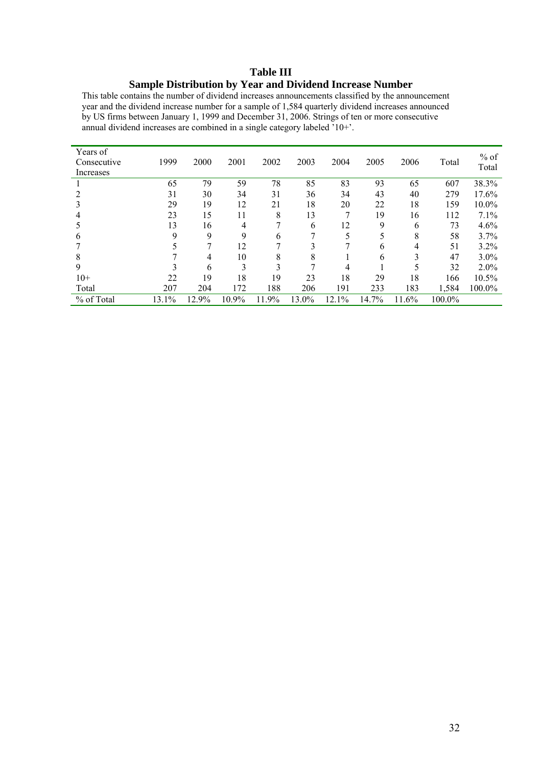## **Table III Sample Distribution by Year and Dividend Increase Number**

This table contains the number of dividend increases announcements classified by the announcement year and the dividend increase number for a sample of 1,584 quarterly dividend increases announced by US firms between January 1, 1999 and December 31, 2006. Strings of ten or more consecutive annual dividend increases are combined in a single category labeled '10+'.

| Years of<br>Consecutive<br>Increases | 1999  | 2000  | 2001  | 2002  | 2003  | 2004  | 2005  | 2006  | Total  | $%$ of<br>Total |
|--------------------------------------|-------|-------|-------|-------|-------|-------|-------|-------|--------|-----------------|
|                                      | 65    | 79    | 59    | 78    | 85    | 83    | 93    | 65    | 607    | 38.3%           |
|                                      | 31    | 30    | 34    | 31    | 36    | 34    | 43    | 40    | 279    | 17.6%           |
|                                      | 29    | 19    | 12    | 21    | 18    | 20    | 22    | 18    | 159    | 10.0%           |
|                                      | 23    | 15    | 11    | 8     | 13    |       | 19    | 16    | 112    | 7.1%            |
|                                      | 13    | 16    | 4     |       | 6     | 12    | 9     | 6     | 73     | 4.6%            |
| b                                    | 9     | 9     | 9     | 6     |       | 5     | 5     | 8     | 58     | 3.7%            |
|                                      |       |       | 12    |       |       |       | 6     | 4     | 51     | 3.2%            |
| 8                                    |       | 4     | 10    | 8     | 8     |       | 6     | 3     | 47     | $3.0\%$         |
| 9                                    |       | 6     | 3     | 3     |       | 4     |       |       | 32     | $2.0\%$         |
| $10+$                                | 22    | 19    | 18    | 19    | 23    | 18    | 29    | 18    | 166    | 10.5%           |
| Total                                | 207   | 204   | 172   | 188   | 206   | 191   | 233   | 183   | 1,584  | 100.0%          |
| % of Total                           | 13.1% | 12.9% | 10.9% | 11.9% | 13.0% | 12.1% | 14.7% | 11.6% | 100.0% |                 |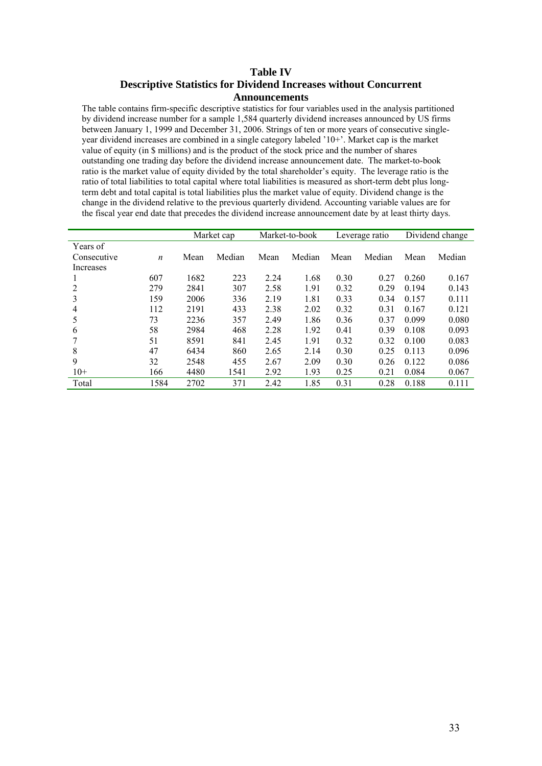### **Table IV Descriptive Statistics for Dividend Increases without Concurrent Announcements**

The table contains firm-specific descriptive statistics for four variables used in the analysis partitioned by dividend increase number for a sample 1,584 quarterly dividend increases announced by US firms between January 1, 1999 and December 31, 2006. Strings of ten or more years of consecutive singleyear dividend increases are combined in a single category labeled '10+'. Market cap is the market value of equity (in \$ millions) and is the product of the stock price and the number of shares outstanding one trading day before the dividend increase announcement date. The market-to-book ratio is the market value of equity divided by the total shareholder's equity. The leverage ratio is the ratio of total liabilities to total capital where total liabilities is measured as short-term debt plus longterm debt and total capital is total liabilities plus the market value of equity. Dividend change is the change in the dividend relative to the previous quarterly dividend. Accounting variable values are for the fiscal year end date that precedes the dividend increase announcement date by at least thirty days.

|             |                  | Market cap |        | Market-to-book |        | Leverage ratio |        | Dividend change |        |
|-------------|------------------|------------|--------|----------------|--------|----------------|--------|-----------------|--------|
| Years of    |                  |            |        |                |        |                |        |                 |        |
| Consecutive | $\boldsymbol{n}$ | Mean       | Median | Mean           | Median | Mean           | Median | Mean            | Median |
| Increases   |                  |            |        |                |        |                |        |                 |        |
|             | 607              | 1682       | 223    | 2.24           | 1.68   | 0.30           | 0.27   | 0.260           | 0.167  |
| 2           | 279              | 2841       | 307    | 2.58           | 1.91   | 0.32           | 0.29   | 0.194           | 0.143  |
| 3           | 159              | 2006       | 336    | 2.19           | 1.81   | 0.33           | 0.34   | 0.157           | 0.111  |
| 4           | 112              | 2191       | 433    | 2.38           | 2.02   | 0.32           | 0.31   | 0.167           | 0.121  |
| 5           | 73               | 2236       | 357    | 2.49           | 1.86   | 0.36           | 0.37   | 0.099           | 0.080  |
| 6           | 58               | 2984       | 468    | 2.28           | 1.92   | 0.41           | 0.39   | 0.108           | 0.093  |
|             | 51               | 8591       | 841    | 2.45           | 1.91   | 0.32           | 0.32   | 0.100           | 0.083  |
| 8           | 47               | 6434       | 860    | 2.65           | 2.14   | 0.30           | 0.25   | 0.113           | 0.096  |
| 9           | 32               | 2548       | 455    | 2.67           | 2.09   | 0.30           | 0.26   | 0.122           | 0.086  |
| $10+$       | 166              | 4480       | 1541   | 2.92           | 1.93   | 0.25           | 0.21   | 0.084           | 0.067  |
| Total       | 1584             | 2702       | 371    | 2.42           | 1.85   | 0.31           | 0.28   | 0.188           | 0.111  |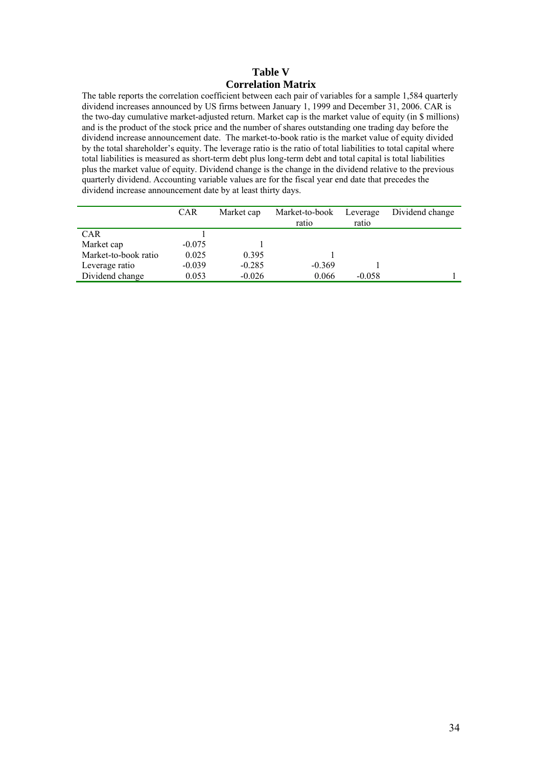## **Table V Correlation Matrix**

The table reports the correlation coefficient between each pair of variables for a sample 1,584 quarterly dividend increases announced by US firms between January 1, 1999 and December 31, 2006. CAR is the two-day cumulative market-adjusted return. Market cap is the market value of equity (in \$ millions) and is the product of the stock price and the number of shares outstanding one trading day before the dividend increase announcement date. The market-to-book ratio is the market value of equity divided by the total shareholder's equity. The leverage ratio is the ratio of total liabilities to total capital where total liabilities is measured as short-term debt plus long-term debt and total capital is total liabilities plus the market value of equity. Dividend change is the change in the dividend relative to the previous quarterly dividend. Accounting variable values are for the fiscal year end date that precedes the dividend increase announcement date by at least thirty days.

|                      | <b>CAR</b> | Market cap | Market-to-book<br>ratio | Leverage<br>ratio | Dividend change |
|----------------------|------------|------------|-------------------------|-------------------|-----------------|
| <b>CAR</b>           |            |            |                         |                   |                 |
| Market cap           | $-0.075$   |            |                         |                   |                 |
| Market-to-book ratio | 0.025      | 0.395      |                         |                   |                 |
| Leverage ratio       | $-0.039$   | $-0.285$   | $-0.369$                |                   |                 |
| Dividend change      | 0.053      | $-0.026$   | 0.066                   | $-0.058$          |                 |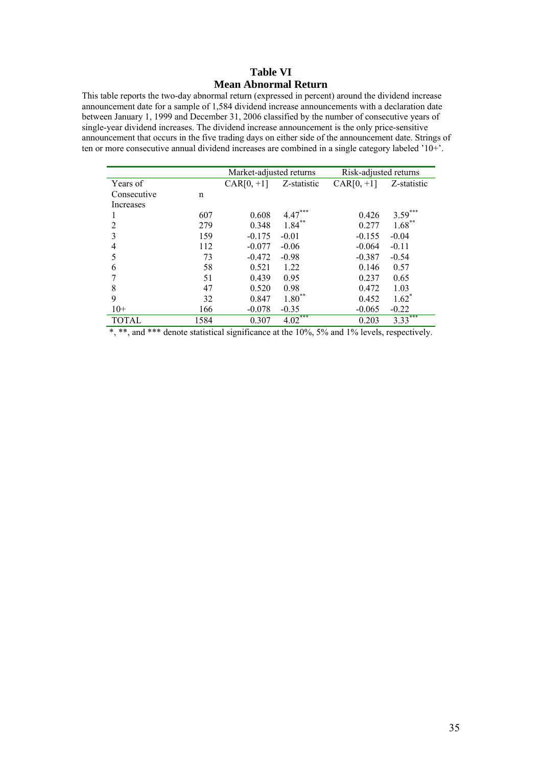## **Table VI Mean Abnormal Return**

This table reports the two-day abnormal return (expressed in percent) around the dividend increase announcement date for a sample of 1,584 dividend increase announcements with a declaration date between January 1, 1999 and December 31, 2006 classified by the number of consecutive years of single-year dividend increases. The dividend increase announcement is the only price-sensitive announcement that occurs in the five trading days on either side of the announcement date. Strings of ten or more consecutive annual dividend increases are combined in a single category labeled '10+'.

|              |      | Market-adjusted returns |             | Risk-adjusted returns |             |  |
|--------------|------|-------------------------|-------------|-----------------------|-------------|--|
| Years of     |      | $CAR[0, +1]$            | Z-statistic | $CAR[0, +1]$          | Z-statistic |  |
| Consecutive  | n    |                         |             |                       |             |  |
| Increases    |      |                         |             |                       |             |  |
|              | 607  | 0.608                   | $4.47***$   | 0.426                 | $3.59^{*}$  |  |
| 2            | 279  | 0.348                   | $1.84***$   | 0.277                 | $1.68***$   |  |
| 3            | 159  | $-0.175$                | $-0.01$     | $-0.155$              | $-0.04$     |  |
| 4            | 112  | $-0.077$                | $-0.06$     | $-0.064$              | $-0.11$     |  |
| 5            | 73   | $-0.472$                | $-0.98$     | $-0.387$              | $-0.54$     |  |
| 6            | 58   | 0.521                   | 1.22        | 0.146                 | 0.57        |  |
| 7            | 51   | 0.439                   | 0.95        | 0.237                 | 0.65        |  |
| 8            | 47   | 0.520                   | 0.98        | 0.472                 | 1.03        |  |
| 9            | 32   | 0.847                   | $1.80^{**}$ | 0.452                 | $1.62^*$    |  |
| $10+$        | 166  | $-0.078$                | $-0.35$     | $-0.065$              | $-0.22$     |  |
| <b>TOTAL</b> | 1584 | 0.307                   | $4.02***$   | 0.203                 | ***<br>3.33 |  |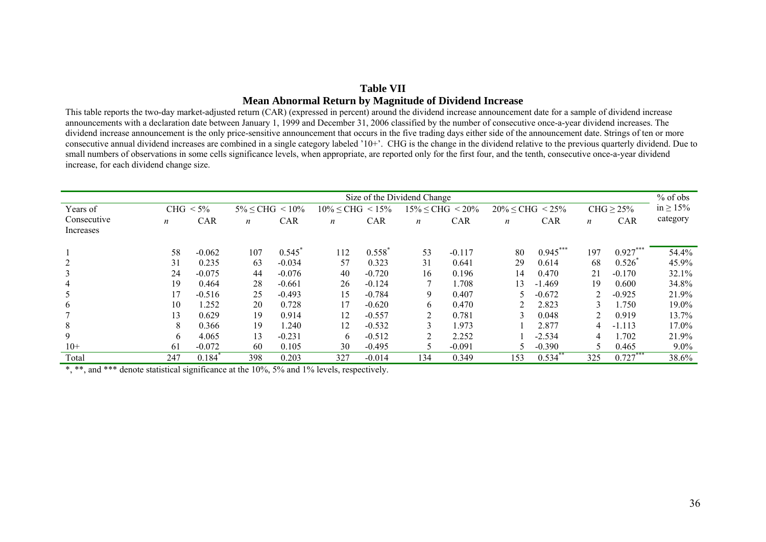## **Table VII Mean Abnormal Return by Magnitude of Dividend Increase**

This table reports the two-day market-adjusted return (CAR) (expressed in percent) around the dividend increase announcement date for a sample of dividend increase announcements with a declaration date between January 1, 1999 and December 31, 2006 classified by the number of consecutive once-a-year dividend increases. The dividend increase announcement is the only price-sensitive announcement that occurs in the five trading days either side of the announcement date. Strings of ten or more consecutive annual dividend increases are combined in a single category labeled '10+'. CHG is the change in the dividend relative to the previous quarterly dividend. Due to small numbers of observations in some cells significance levels, when appropriate, are reported only for the first four, and the tenth, consecutive once-a-year dividend increase, for each dividend change size.

| Size of the Dividend Change |     |                      |                          |            |                           |            |     |                           | $%$ of obs       |                           |               |                 |                |
|-----------------------------|-----|----------------------|--------------------------|------------|---------------------------|------------|-----|---------------------------|------------------|---------------------------|---------------|-----------------|----------------|
| Years of                    |     | $CHG < 5\%$          | $5\% \leq CHG \leq 10\%$ |            | $10\% \leq CHG \leq 15\%$ |            |     | $15\% \leq CHG \leq 20\%$ |                  | $20\% \leq CHG \leq 25\%$ |               | $CHG \geq 25\%$ | in $\geq 15\%$ |
| Consecutive                 | n   | <b>CAR</b>           | $\boldsymbol{n}$         | <b>CAR</b> | $\boldsymbol{n}$          | <b>CAR</b> | n   | <b>CAR</b>                | $\boldsymbol{n}$ | <b>CAR</b>                | n             | <b>CAR</b>      | category       |
| Increases                   |     |                      |                          |            |                           |            |     |                           |                  |                           |               |                 |                |
|                             | 58  | $-0.062$             | 107                      | 0.545      | 112                       | 0.558      | 53  | $-0.117$                  | 80               | $0.945***$                | 197           | $0.927***$      | 54.4%          |
| 2                           | 31  | 0.235                | 63                       | $-0.034$   | 57                        | 0.323      | 31  | 0.641                     | 29               | 0.614                     | 68            | 0.526           | 45.9%          |
| 3                           | 24  | $-0.075$             | 44                       | $-0.076$   | 40                        | $-0.720$   | 16  | 0.196                     | 14               | 0.470                     | 21            | $-0.170$        | 32.1%          |
| $\overline{4}$              | 19  | 0.464                | 28                       | $-0.661$   | 26                        | $-0.124$   | 7   | 1.708                     | 13               | $-1.469$                  | 19            | 0.600           | 34.8%          |
| 5                           | 17  | $-0.516$             | 25                       | $-0.493$   | 15                        | $-0.784$   | 9   | 0.407                     |                  | $-0.672$                  | $\mathcal{D}$ | $-0.925$        | 21.9%          |
| 6                           | 10  | 1.252                | 20                       | 0.728      | 17                        | $-0.620$   | 6   | 0.470                     |                  | 2.823                     |               | 1.750           | 19.0%          |
|                             | 13  | 0.629                | 19                       | 0.914      | 12                        | $-0.557$   | 2   | 0.781                     | 3                | 0.048                     | 2             | 0.919           | 13.7%          |
| 8                           | 8   | 0.366                | 19                       | 1.240      | 12                        | $-0.532$   | 3   | 1.973                     |                  | 2.877                     | 4             | $-1.113$        | 17.0%          |
| 9                           | 6   | 4.065                | 13                       | $-0.231$   | 6                         | $-0.512$   | ◠   | 2.252                     |                  | $-2.534$                  |               | .702            | 21.9%          |
| $10+$                       | 61  | $-0.072$             | 60                       | 0.105      | 30                        | $-0.495$   | 5   | $-0.091$                  |                  | $-0.390$                  |               | 0.465           | $9.0\%$        |
| Total                       | 247 | $0.184$ <sup>*</sup> | 398                      | 0.203      | 327                       | $-0.014$   | 134 | 0.349                     | 153              | $0.534$ **                | 325           | $0.727***$      | 38.6%          |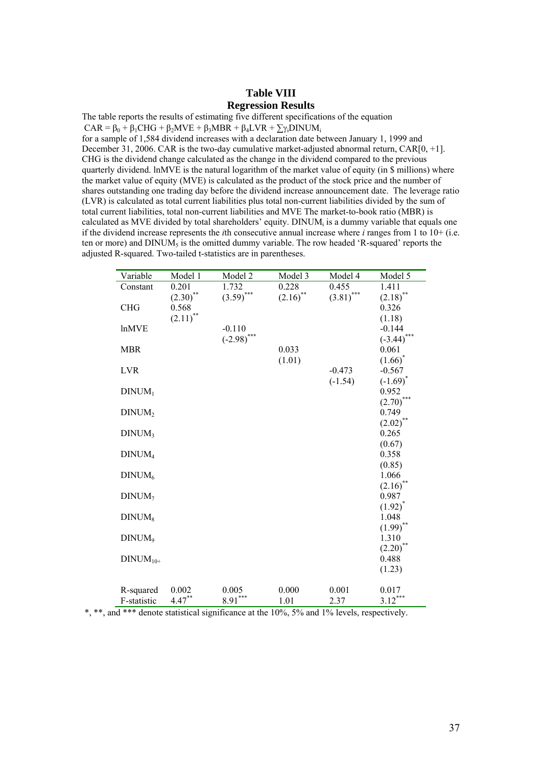#### **Table VIII Regression Results**

The table reports the results of estimating five different specifications of the equation  $CAR = \beta_0 + \beta_1 CHG + \beta_2 MVE + \beta_3 MBR + \beta_4 LVR + \sum_{i} DINUM_i$ for a sample of 1,584 dividend increases with a declaration date between January 1, 1999 and December 31, 2006. CAR is the two-day cumulative market-adjusted abnormal return, CAR[0, +1]. CHG is the dividend change calculated as the change in the dividend compared to the previous quarterly dividend. lnMVE is the natural logarithm of the market value of equity (in \$ millions) where the market value of equity (MVE) is calculated as the product of the stock price and the number of shares outstanding one trading day before the dividend increase announcement date. The leverage ratio (LVR) is calculated as total current liabilities plus total non-current liabilities divided by the sum of total current liabilities, total non-current liabilities and MVE The market-to-book ratio (MBR) is calculated as MVE divided by total shareholders' equity. DINUMi is a dummy variable that equals one if the dividend increase represents the *i*th consecutive annual increase where *i* ranges from 1 to 10+ (i.e.

ten or more) and  $DINUM<sub>5</sub>$  is the omitted dummy variable. The row headed 'R-squared' reports the

adjusted R-squared. Two-tailed t-statistics are in parentheses.

| Variable           | Model 1                | Model 2       | Model 3     | Model 4      | Model 5               |
|--------------------|------------------------|---------------|-------------|--------------|-----------------------|
| Constant           | 0.201                  | 1.732         | 0.228       | 0.455        | 1.411                 |
|                    | $(2.30)$ **            | $(3.59)$ ***  | $(2.16)$ ** | $(3.81)$ *** | $(2.18)$ **           |
| <b>CHG</b>         | 0.568                  |               |             |              | 0.326                 |
|                    | $(2.11)$ <sup>**</sup> |               |             |              | (1.18)                |
| <b>lnMVE</b>       |                        | $-0.110$      |             |              | $-0.144$              |
|                    |                        | $(-2.98)$ *** |             |              | $(-3.44)$             |
| <b>MBR</b>         |                        |               | 0.033       |              | 0.061                 |
|                    |                        |               | (1.01)      |              | $(1.66)^*$            |
| <b>LVR</b>         |                        |               |             | $-0.473$     | $-0.567$              |
|                    |                        |               |             | $(-1.54)$    | $(-1.69)^*$           |
| DINUM <sub>1</sub> |                        |               |             |              | 0.952                 |
|                    |                        |               |             |              | (2.70)                |
| DINUM <sub>2</sub> |                        |               |             |              | 0.749                 |
| DINUM <sub>3</sub> |                        |               |             |              | $(2.02)$ **<br>0.265  |
|                    |                        |               |             |              | (0.67)                |
| DINUM <sub>4</sub> |                        |               |             |              | 0.358                 |
|                    |                        |               |             |              | (0.85)                |
| DINUM <sub>6</sub> |                        |               |             |              | 1.066                 |
|                    |                        |               |             |              | $(2.16)$ <sup>*</sup> |
| DINUM <sub>7</sub> |                        |               |             |              | 0.987                 |
|                    |                        |               |             |              | $(1.92)^{*}$          |
| DINUM <sub>8</sub> |                        |               |             |              | 1.048                 |
|                    |                        |               |             |              | $(1.99)$ **           |
| DINUM <sub>9</sub> |                        |               |             |              | 1.310                 |
|                    |                        |               |             |              | $(2.20)$ **           |
| $DINUM10+$         |                        |               |             |              | 0.488                 |
|                    |                        |               |             |              | (1.23)                |
|                    |                        |               |             |              |                       |
| R-squared          | 0.002                  | 0.005         | 0.000       | 0.001        | 0.017                 |
| F-statistic        | $4.47***$              | $8.91***$     | 1.01        | 2.37         | $3.12***$             |